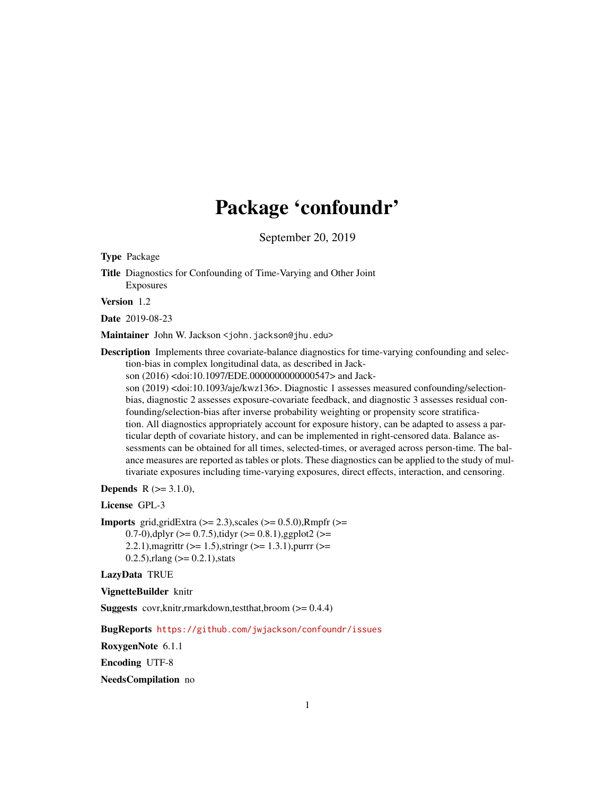# Package 'confoundr'

September 20, 2019

Type Package

Title Diagnostics for Confounding of Time-Varying and Other Joint Exposures

Version 1.2

Date 2019-08-23

Maintainer John W. Jackson <john.jackson@jhu.edu>

Description Implements three covariate-balance diagnostics for time-varying confounding and selection-bias in complex longitudinal data, as described in Jackson (2016) <doi:10.1097/EDE.0000000000000547> and Jackson (2019) <doi:10.1093/aje/kwz136>. Diagnostic 1 assesses measured confounding/selectionbias, diagnostic 2 assesses exposure-covariate feedback, and diagnostic 3 assesses residual confounding/selection-bias after inverse probability weighting or propensity score stratification. All diagnostics appropriately account for exposure history, can be adapted to assess a particular depth of covariate history, and can be implemented in right-censored data. Balance assessments can be obtained for all times, selected-times, or averaged across person-time. The balance measures are reported as tables or plots. These diagnostics can be applied to the study of multivariate exposures including time-varying exposures, direct effects, interaction, and censoring.

**Depends** R  $(>= 3.1.0)$ ,

License GPL-3

**Imports** grid,gridExtra  $(>= 2.3)$ , scales  $(>= 0.5.0)$ , Rmpfr  $(>= 1.5.0)$ 0.7-0),dplyr  $(>= 0.7.5)$ ,tidyr  $(>= 0.8.1)$ ,ggplot2  $(>= 0.7.5)$ 2.2.1), magrittr ( $>= 1.5$ ), stringr ( $>= 1.3.1$ ), purrr ( $>= 1.3$  $0.2.5$ ), rlang ( $> = 0.2.1$ ), stats

LazyData TRUE

VignetteBuilder knitr

**Suggests** covr, knitr, rmarkdown, test that, broom  $(>= 0.4.4)$ 

BugReports <https://github.com/jwjackson/confoundr/issues>

RoxygenNote 6.1.1

Encoding UTF-8

NeedsCompilation no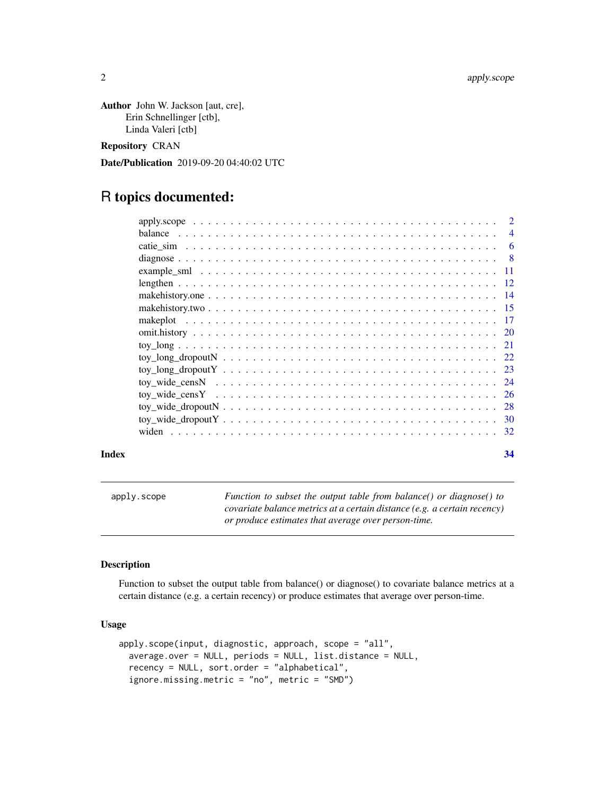<span id="page-1-0"></span>Author John W. Jackson [aut, cre], Erin Schnellinger [ctb], Linda Valeri [ctb]

Repository CRAN

Date/Publication 2019-09-20 04:40:02 UTC

# R topics documented:

|       | $\overline{2}$ |
|-------|----------------|
|       |                |
|       |                |
|       |                |
|       |                |
|       |                |
|       |                |
|       |                |
|       |                |
|       |                |
|       |                |
|       |                |
|       |                |
|       |                |
|       |                |
|       |                |
|       |                |
|       |                |
| Index | 34             |

apply.scope *Function to subset the output table from balance() or diagnose() to covariate balance metrics at a certain distance (e.g. a certain recency) or produce estimates that average over person-time.*

# Description

Function to subset the output table from balance() or diagnose() to covariate balance metrics at a certain distance (e.g. a certain recency) or produce estimates that average over person-time.

# Usage

```
apply.scope(input, diagnostic, approach, scope = "all",
 average.over = NULL, periods = NULL, list.distance = NULL,
  recency = NULL, sort.order = "alphabetical",
  ignore.missing.metric = "no", metric = "SMD")
```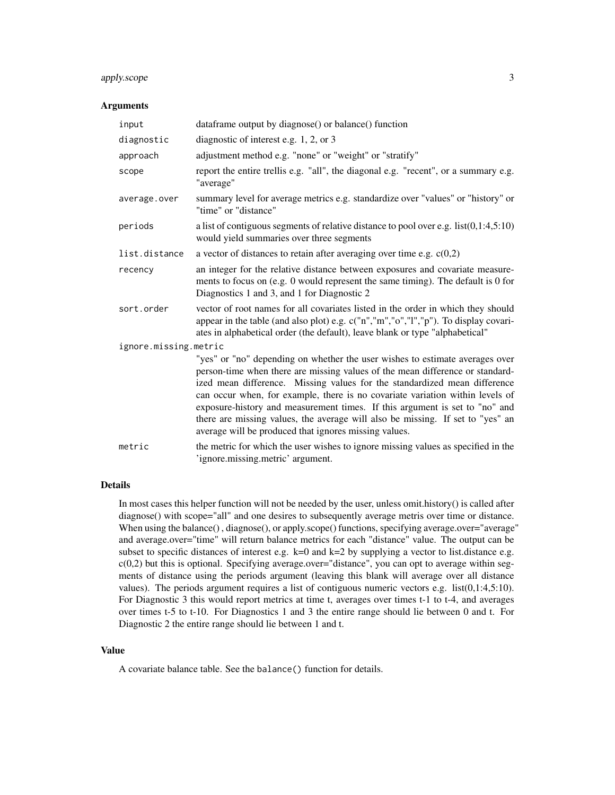# apply.scope 3

#### **Arguments**

| input                 | dataframe output by diagnose() or balance() function                                                                                                                                                                                                                                                                                                                                                                                                                                                                                                  |
|-----------------------|-------------------------------------------------------------------------------------------------------------------------------------------------------------------------------------------------------------------------------------------------------------------------------------------------------------------------------------------------------------------------------------------------------------------------------------------------------------------------------------------------------------------------------------------------------|
| diagnostic            | diagnostic of interest e.g. 1, 2, or 3                                                                                                                                                                                                                                                                                                                                                                                                                                                                                                                |
| approach              | adjustment method e.g. "none" or "weight" or "stratify"                                                                                                                                                                                                                                                                                                                                                                                                                                                                                               |
| scope                 | report the entire trellis e.g. "all", the diagonal e.g. "recent", or a summary e.g.<br>"average"                                                                                                                                                                                                                                                                                                                                                                                                                                                      |
| average.over          | summary level for average metrics e.g. standardize over "values" or "history" or<br>"time" or "distance"                                                                                                                                                                                                                                                                                                                                                                                                                                              |
| periods               | a list of contiguous segments of relative distance to pool over e.g. $list(0,1:4,5:10)$<br>would yield summaries over three segments                                                                                                                                                                                                                                                                                                                                                                                                                  |
| list.distance         | a vector of distances to retain after averaging over time e.g. $c(0,2)$                                                                                                                                                                                                                                                                                                                                                                                                                                                                               |
| recency               | an integer for the relative distance between exposures and covariate measure-<br>ments to focus on (e.g. 0 would represent the same timing). The default is 0 for<br>Diagnostics 1 and 3, and 1 for Diagnostic 2                                                                                                                                                                                                                                                                                                                                      |
| sort.order            | vector of root names for all covariates listed in the order in which they should<br>appear in the table (and also plot) e.g. c("n","m","o","l","p"). To display covari-<br>ates in alphabetical order (the default), leave blank or type "alphabetical"                                                                                                                                                                                                                                                                                               |
| ignore.missing.metric |                                                                                                                                                                                                                                                                                                                                                                                                                                                                                                                                                       |
|                       | "yes" or "no" depending on whether the user wishes to estimate averages over<br>person-time when there are missing values of the mean difference or standard-<br>ized mean difference. Missing values for the standardized mean difference<br>can occur when, for example, there is no covariate variation within levels of<br>exposure-history and measurement times. If this argument is set to "no" and<br>there are missing values, the average will also be missing. If set to "yes" an<br>average will be produced that ignores missing values. |
| metric                | the metric for which the user wishes to ignore missing values as specified in the<br>'ignore.missing.metric' argument.                                                                                                                                                                                                                                                                                                                                                                                                                                |

# Details

In most cases this helper function will not be needed by the user, unless omit.history() is called after diagnose() with scope="all" and one desires to subsequently average metris over time or distance. When using the balance(), diagnose(), or apply.scope() functions, specifying average.over="average" and average.over="time" will return balance metrics for each "distance" value. The output can be subset to specific distances of interest e.g. k=0 and k=2 by supplying a vector to list.distance e.g.  $c(0,2)$  but this is optional. Specifying average.over="distance", you can opt to average within segments of distance using the periods argument (leaving this blank will average over all distance values). The periods argument requires a list of contiguous numeric vectors e.g. list(0,1:4,5:10). For Diagnostic 3 this would report metrics at time t, averages over times t-1 to t-4, and averages over times t-5 to t-10. For Diagnostics 1 and 3 the entire range should lie between 0 and t. For Diagnostic 2 the entire range should lie between 1 and t.

#### Value

A covariate balance table. See the balance() function for details.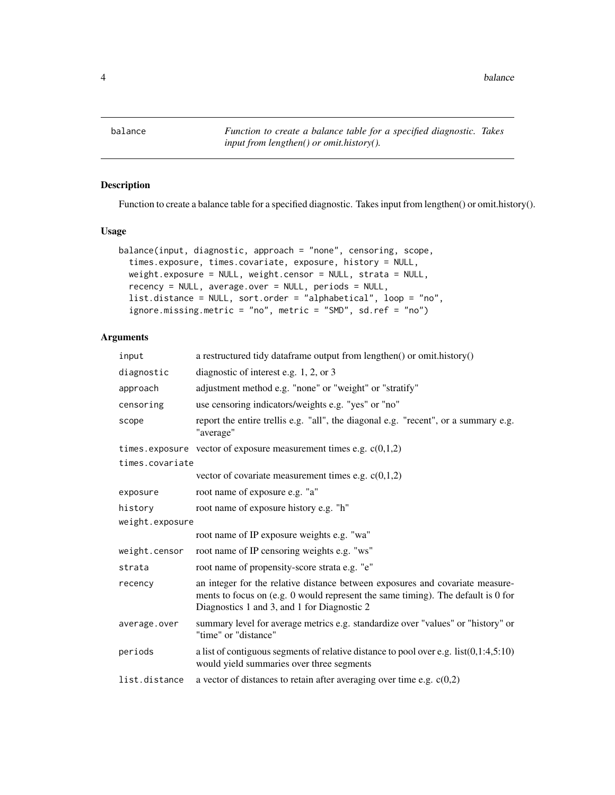<span id="page-3-0"></span>balance *Function to create a balance table for a specified diagnostic. Takes input from lengthen() or omit.history().*

# Description

Function to create a balance table for a specified diagnostic. Takes input from lengthen() or omit.history().

# Usage

```
balance(input, diagnostic, approach = "none", censoring, scope,
  times.exposure, times.covariate, exposure, history = NULL,
 weight.exposure = NULL, weight.censor = NULL, strata = NULL,
  recency = NULL, average.over = NULL, periods = NULL,
  list.distance = NULL, sort.order = "alphabetical", loop = "no",
  ignore.missing.metric = "no", metric = "SMD", sd.ref = "no")
```
# Arguments

| input           | a restructured tidy dataframe output from lengthen() or omit.history()                                                                                                                                           |
|-----------------|------------------------------------------------------------------------------------------------------------------------------------------------------------------------------------------------------------------|
| diagnostic      | diagnostic of interest e.g. $1, 2,$ or 3                                                                                                                                                                         |
| approach        | adjustment method e.g. "none" or "weight" or "stratify"                                                                                                                                                          |
| censoring       | use censoring indicators/weights e.g. "yes" or "no"                                                                                                                                                              |
| scope           | report the entire trellis e.g. "all", the diagonal e.g. "recent", or a summary e.g.<br>"average"                                                                                                                 |
|                 | times.exposure vector of exposure measurement times e.g. $c(0,1,2)$                                                                                                                                              |
| times.covariate |                                                                                                                                                                                                                  |
|                 | vector of covariate measurement times e.g. $c(0,1,2)$                                                                                                                                                            |
| exposure        | root name of exposure e.g. "a"                                                                                                                                                                                   |
| history         | root name of exposure history e.g. "h"                                                                                                                                                                           |
| weight.exposure |                                                                                                                                                                                                                  |
|                 | root name of IP exposure weights e.g. "wa"                                                                                                                                                                       |
| weight.censor   | root name of IP censoring weights e.g. "ws"                                                                                                                                                                      |
| strata          | root name of propensity-score strata e.g. "e"                                                                                                                                                                    |
| recency         | an integer for the relative distance between exposures and covariate measure-<br>ments to focus on (e.g. 0 would represent the same timing). The default is 0 for<br>Diagnostics 1 and 3, and 1 for Diagnostic 2 |
| average.over    | summary level for average metrics e.g. standardize over "values" or "history" or<br>"time" or "distance"                                                                                                         |
| periods         | a list of contiguous segments of relative distance to pool over e.g. $list(0,1:4,5:10)$<br>would yield summaries over three segments                                                                             |
| list.distance   | a vector of distances to retain after averaging over time e.g. $c(0,2)$                                                                                                                                          |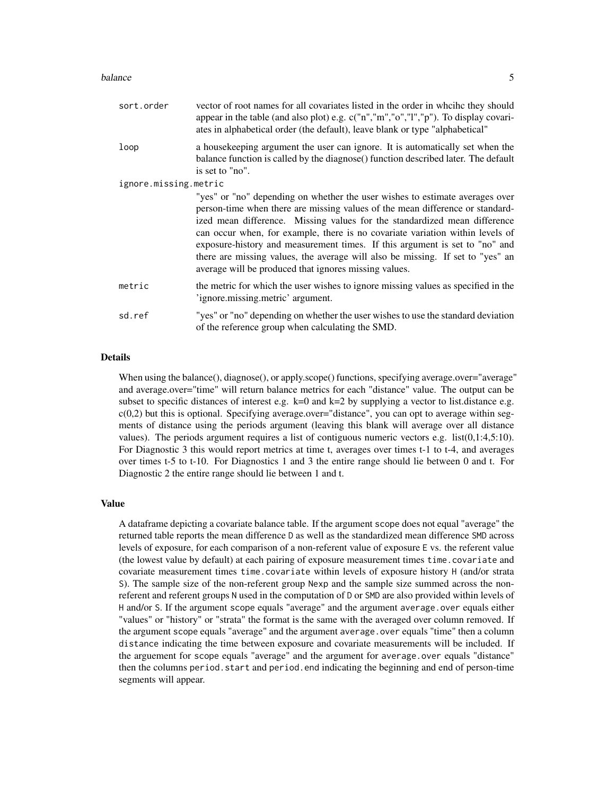#### balance 5 and 5 and 5 and 5 and 5 and 5 and 6 and 6 and 6 and 6 and 6 and 6 and 6 and 6 and 6 and 6 and 6 and 6 and 6 and 6 and 6 and 6 and 6 and 6 and 6 and 6 and 6 and 6 and 6 and 6 and 6 and 6 and 6 and 6 and 6 and 6 an

| sort.order            | vector of root names for all covariates listed in the order in wheihe they should<br>appear in the table (and also plot) e.g. c("n","m","o","l","p"). To display covari-<br>ates in alphabetical order (the default), leave blank or type "alphabetical"                                                                                                                                                                                                                                                                                              |
|-----------------------|-------------------------------------------------------------------------------------------------------------------------------------------------------------------------------------------------------------------------------------------------------------------------------------------------------------------------------------------------------------------------------------------------------------------------------------------------------------------------------------------------------------------------------------------------------|
| loop                  | a house keeping argument the user can ignore. It is automatically set when the<br>balance function is called by the diagnose() function described later. The default<br>is set to "no".                                                                                                                                                                                                                                                                                                                                                               |
| ignore.missing.metric |                                                                                                                                                                                                                                                                                                                                                                                                                                                                                                                                                       |
|                       | "yes" or "no" depending on whether the user wishes to estimate averages over<br>person-time when there are missing values of the mean difference or standard-<br>ized mean difference. Missing values for the standardized mean difference<br>can occur when, for example, there is no covariate variation within levels of<br>exposure-history and measurement times. If this argument is set to "no" and<br>there are missing values, the average will also be missing. If set to "yes" an<br>average will be produced that ignores missing values. |
| metric                | the metric for which the user wishes to ignore missing values as specified in the<br>'ignore.missing.metric' argument.                                                                                                                                                                                                                                                                                                                                                                                                                                |
| sd.ref                | "yes" or "no" depending on whether the user wishes to use the standard deviation<br>of the reference group when calculating the SMD.                                                                                                                                                                                                                                                                                                                                                                                                                  |

#### Details

When using the balance(), diagnose(), or apply.scope() functions, specifying average.over="average" and average.over="time" will return balance metrics for each "distance" value. The output can be subset to specific distances of interest e.g.  $k=0$  and  $k=2$  by supplying a vector to list.distance e.g. c(0,2) but this is optional. Specifying average.over="distance", you can opt to average within segments of distance using the periods argument (leaving this blank will average over all distance values). The periods argument requires a list of contiguous numeric vectors e.g. list(0,1:4,5:10). For Diagnostic 3 this would report metrics at time t, averages over times t-1 to t-4, and averages over times t-5 to t-10. For Diagnostics 1 and 3 the entire range should lie between 0 and t. For Diagnostic 2 the entire range should lie between 1 and t.

#### Value

A dataframe depicting a covariate balance table. If the argument scope does not equal "average" the returned table reports the mean difference D as well as the standardized mean difference SMD across levels of exposure, for each comparison of a non-referent value of exposure E vs. the referent value (the lowest value by default) at each pairing of exposure measurement times time.covariate and covariate measurement times time.covariate within levels of exposure history H (and/or strata S). The sample size of the non-referent group Nexp and the sample size summed across the nonreferent and referent groups N used in the computation of D or SMD are also provided within levels of H and/or S. If the argument scope equals "average" and the argument average.over equals either "values" or "history" or "strata" the format is the same with the averaged over column removed. If the argument scope equals "average" and the argument average.over equals "time" then a column distance indicating the time between exposure and covariate measurements will be included. If the arguement for scope equals "average" and the argument for average.over equals "distance" then the columns period.start and period.end indicating the beginning and end of person-time segments will appear.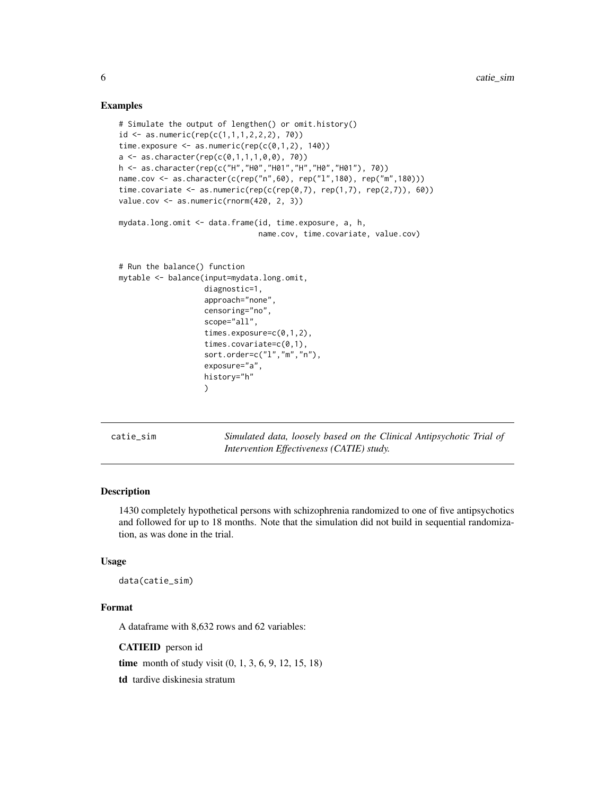# Examples

```
# Simulate the output of lengthen() or omit.history()
id \leq -as.numeric(rep(c(1,1,1,2,2,2), 70))time.exposure \leq as.numeric(rep(c(0,1,2), 140))
a \leq -as.character(rep(c(0,1,1,1,0,0), 70))h <- as.character(rep(c("H","H0","H01","H","H0","H01"), 70))
name.cov <- as.character(c(rep("n",60), rep("l",180), rep("m",180)))
time.covariate <- as.numeric(rep(c(rep(0,7), rep(1,7), rep(2,7)), 60))
value.cov <- as.numeric(rnorm(420, 2, 3))
mydata.long.omit <- data.frame(id, time.exposure, a, h,
                               name.cov, time.covariate, value.cov)
# Run the balance() function
mytable <- balance(input=mydata.long.omit,
                   diagnostic=1,
                   approach="none",
                   censoring="no",
                   scope="all",
                   times.exposure=c(0,1,2),
                   times.covariate=c(0,1),
                   sort.order=c("l","m","n"),
                   exposure="a",
                   history="h"
                   )
```
catie\_sim *Simulated data, loosely based on the Clinical Antipsychotic Trial of Intervention Effectiveness (CATIE) study.*

# **Description**

1430 completely hypothetical persons with schizophrenia randomized to one of five antipsychotics and followed for up to 18 months. Note that the simulation did not build in sequential randomization, as was done in the trial.

#### Usage

data(catie\_sim)

# Format

A dataframe with 8,632 rows and 62 variables:

CATIEID person id

time month of study visit (0, 1, 3, 6, 9, 12, 15, 18)

td tardive diskinesia stratum

<span id="page-5-0"></span>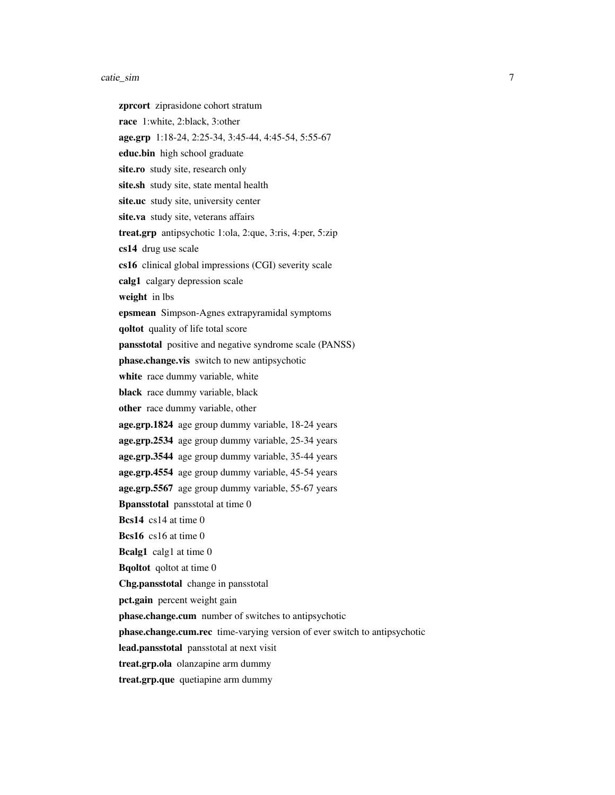#### catie\_sim 7

zprcort ziprasidone cohort stratum race 1:white, 2:black, 3:other age.grp 1:18-24, 2:25-34, 3:45-44, 4:45-54, 5:55-67 educ.bin high school graduate site.ro study site, research only site.sh study site, state mental health site.uc study site, university center site.va study site, veterans affairs treat.grp antipsychotic 1:ola, 2:que, 3:ris, 4:per, 5:zip cs14 drug use scale cs16 clinical global impressions (CGI) severity scale calg1 calgary depression scale weight in lbs epsmean Simpson-Agnes extrapyramidal symptoms qoltot quality of life total score pansstotal positive and negative syndrome scale (PANSS) phase.change.vis switch to new antipsychotic white race dummy variable, white black race dummy variable, black other race dummy variable, other age.grp.1824 age group dummy variable, 18-24 years age.grp.2534 age group dummy variable, 25-34 years age.grp.3544 age group dummy variable, 35-44 years age.grp.4554 age group dummy variable, 45-54 years age.grp.5567 age group dummy variable, 55-67 years Bpansstotal pansstotal at time 0 Bcs14 cs14 at time 0 Bcs16 cs16 at time 0 Bcalg1 calg1 at time 0 Bqoltot qoltot at time 0 Chg.pansstotal change in pansstotal pct.gain percent weight gain phase.change.cum number of switches to antipsychotic phase.change.cum.rec time-varying version of ever switch to antipsychotic lead.pansstotal pansstotal at next visit treat.grp.ola olanzapine arm dummy

treat.grp.que quetiapine arm dummy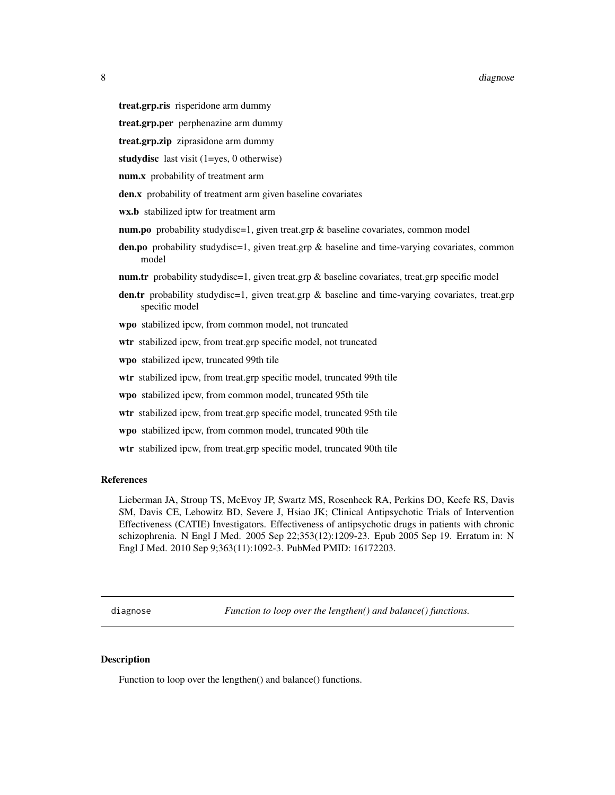#### <span id="page-7-0"></span>8 diagnose et al. 2008 a construction of the construction of the construction of the construction of the construction of the construction of the construction of the construction of the construction of the construction of t

- treat.grp.ris risperidone arm dummy
- treat.grp.per perphenazine arm dummy
- treat.grp.zip ziprasidone arm dummy
- studydisc last visit (1=yes, 0 otherwise)
- num.x probability of treatment arm
- den.x probability of treatment arm given baseline covariates
- wx.b stabilized iptw for treatment arm
- num.po probability studydisc=1, given treat.grp & baseline covariates, common model
- den.po probability studydisc=1, given treat.grp & baseline and time-varying covariates, common model
- **num.tr** probability studydisc=1, given treat.grp  $\&$  baseline covariates, treat.grp specific model
- den.tr probability studydisc=1, given treat.grp & baseline and time-varying covariates, treat.grp specific model
- wpo stabilized ipcw, from common model, not truncated
- wtr stabilized ipcw, from treat.grp specific model, not truncated
- wpo stabilized ipcw, truncated 99th tile
- wtr stabilized ipcw, from treat.grp specific model, truncated 99th tile
- wpo stabilized ipcw, from common model, truncated 95th tile
- wtr stabilized ipcw, from treat.grp specific model, truncated 95th tile
- wpo stabilized ipcw, from common model, truncated 90th tile
- wtr stabilized ipcw, from treat.grp specific model, truncated 90th tile

#### References

Lieberman JA, Stroup TS, McEvoy JP, Swartz MS, Rosenheck RA, Perkins DO, Keefe RS, Davis SM, Davis CE, Lebowitz BD, Severe J, Hsiao JK; Clinical Antipsychotic Trials of Intervention Effectiveness (CATIE) Investigators. Effectiveness of antipsychotic drugs in patients with chronic schizophrenia. N Engl J Med. 2005 Sep 22;353(12):1209-23. Epub 2005 Sep 19. Erratum in: N Engl J Med. 2010 Sep 9;363(11):1092-3. PubMed PMID: 16172203.

diagnose *Function to loop over the lengthen() and balance() functions.*

#### **Description**

Function to loop over the lengthen() and balance() functions.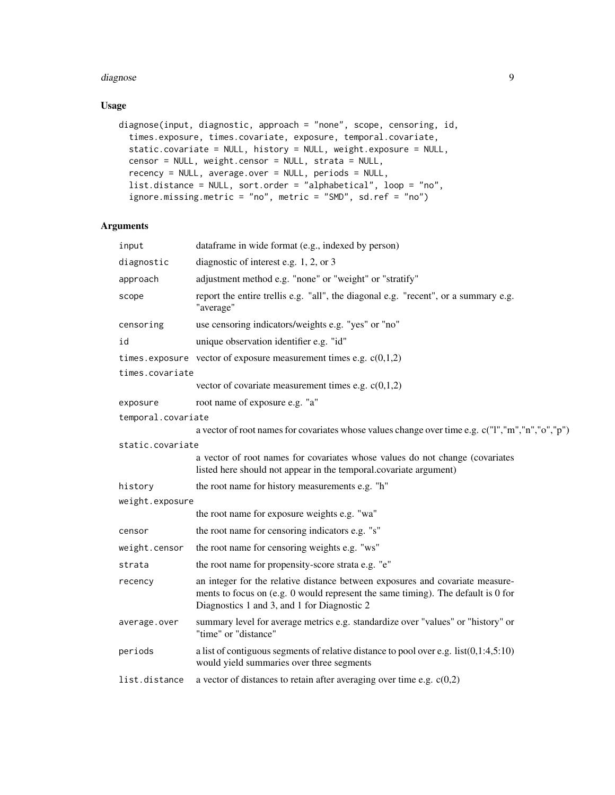#### diagnose **9**9

# Usage

```
diagnose(input, diagnostic, approach = "none", scope, censoring, id,
  times.exposure, times.covariate, exposure, temporal.covariate,
  static.covariate = NULL, history = NULL, weight.exposure = NULL,
 censor = NULL, weight.censor = NULL, strata = NULL,
 recency = NULL, average.over = NULL, periods = NULL,
 list.distance = NULL, sort.order = "alphabetical", loop = "no",
  ignore.missing.metric = "no", metric = "SMD", sd.ref = "no")
```
# Arguments

| input              | dataframe in wide format (e.g., indexed by person)                                                                                                                                                               |
|--------------------|------------------------------------------------------------------------------------------------------------------------------------------------------------------------------------------------------------------|
| diagnostic         | diagnostic of interest e.g. $1, 2$ , or 3                                                                                                                                                                        |
| approach           | adjustment method e.g. "none" or "weight" or "stratify"                                                                                                                                                          |
| scope              | report the entire trellis e.g. "all", the diagonal e.g. "recent", or a summary e.g.<br>"average"                                                                                                                 |
| censoring          | use censoring indicators/weights e.g. "yes" or "no"                                                                                                                                                              |
| id                 | unique observation identifier e.g. "id"                                                                                                                                                                          |
|                    | times.exposure vector of exposure measurement times e.g. $c(0,1,2)$                                                                                                                                              |
| times.covariate    |                                                                                                                                                                                                                  |
|                    | vector of covariate measurement times e.g. $c(0,1,2)$                                                                                                                                                            |
| exposure           | root name of exposure e.g. "a"                                                                                                                                                                                   |
| temporal.covariate |                                                                                                                                                                                                                  |
|                    | a vector of root names for covariates whose values change over time e.g. c("I","m","n","o","p")                                                                                                                  |
| static.covariate   |                                                                                                                                                                                                                  |
|                    | a vector of root names for covariates whose values do not change (covariates<br>listed here should not appear in the temporal.covariate argument)                                                                |
| history            | the root name for history measurements e.g. "h"                                                                                                                                                                  |
| weight.exposure    |                                                                                                                                                                                                                  |
|                    | the root name for exposure weights e.g. "wa"                                                                                                                                                                     |
| censor             | the root name for censoring indicators e.g. "s"                                                                                                                                                                  |
| weight.censor      | the root name for censoring weights e.g. "ws"                                                                                                                                                                    |
| strata             | the root name for propensity-score strata e.g. "e"                                                                                                                                                               |
| recency            | an integer for the relative distance between exposures and covariate measure-<br>ments to focus on (e.g. 0 would represent the same timing). The default is 0 for<br>Diagnostics 1 and 3, and 1 for Diagnostic 2 |
| average.over       | summary level for average metrics e.g. standardize over "values" or "history" or<br>"time" or "distance"                                                                                                         |
| periods            | a list of contiguous segments of relative distance to pool over e.g. $list(0,1:4,5:10)$<br>would yield summaries over three segments                                                                             |
| list.distance      | a vector of distances to retain after averaging over time e.g. $c(0,2)$                                                                                                                                          |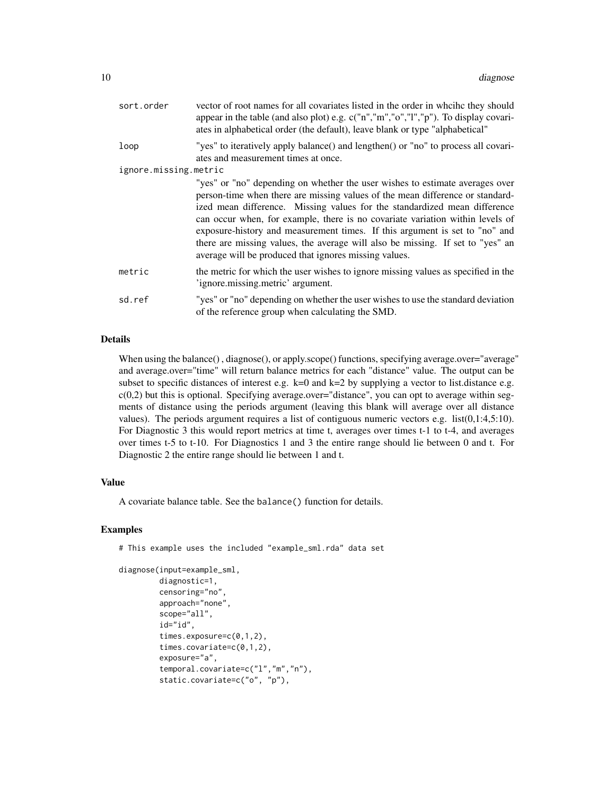| sort.order            | vector of root names for all covariates listed in the order in which they should<br>appear in the table (and also plot) e.g. c("n","m","o","l","p"). To display covari-<br>ates in alphabetical order (the default), leave blank or type "alphabetical"                                                                                                                                                                                                                                                                                               |
|-----------------------|-------------------------------------------------------------------------------------------------------------------------------------------------------------------------------------------------------------------------------------------------------------------------------------------------------------------------------------------------------------------------------------------------------------------------------------------------------------------------------------------------------------------------------------------------------|
| loop                  | "yes" to iteratively apply balance() and lengthen() or "no" to process all covari-<br>ates and measurement times at once.                                                                                                                                                                                                                                                                                                                                                                                                                             |
| ignore.missing.metric |                                                                                                                                                                                                                                                                                                                                                                                                                                                                                                                                                       |
|                       | "yes" or "no" depending on whether the user wishes to estimate averages over<br>person-time when there are missing values of the mean difference or standard-<br>ized mean difference. Missing values for the standardized mean difference<br>can occur when, for example, there is no covariate variation within levels of<br>exposure-history and measurement times. If this argument is set to "no" and<br>there are missing values, the average will also be missing. If set to "yes" an<br>average will be produced that ignores missing values. |
| metric                | the metric for which the user wishes to ignore missing values as specified in the<br>'ignore.missing.metric' argument.                                                                                                                                                                                                                                                                                                                                                                                                                                |
| sd.ref                | "yes" or "no" depending on whether the user wishes to use the standard deviation<br>of the reference group when calculating the SMD.                                                                                                                                                                                                                                                                                                                                                                                                                  |

#### Details

When using the balance(), diagnose(), or apply.scope() functions, specifying average.over="average" and average.over="time" will return balance metrics for each "distance" value. The output can be subset to specific distances of interest e.g.  $k=0$  and  $k=2$  by supplying a vector to list.distance e.g.  $c(0,2)$  but this is optional. Specifying average.over="distance", you can opt to average within segments of distance using the periods argument (leaving this blank will average over all distance values). The periods argument requires a list of contiguous numeric vectors e.g. list(0,1:4,5:10). For Diagnostic 3 this would report metrics at time t, averages over times t-1 to t-4, and averages over times t-5 to t-10. For Diagnostics 1 and 3 the entire range should lie between 0 and t. For Diagnostic 2 the entire range should lie between 1 and t.

#### Value

A covariate balance table. See the balance() function for details.

#### Examples

# This example uses the included "example\_sml.rda" data set

```
diagnose(input=example_sml,
```

```
diagnostic=1,
censoring="no",
approach="none",
scope="all",
id="id",
times.exposure=c(0,1,2),
times.covariate=c(0,1,2),
exposure="a",
temporal.covariate=c("l","m","n"),
static.covariate=c("o", "p"),
```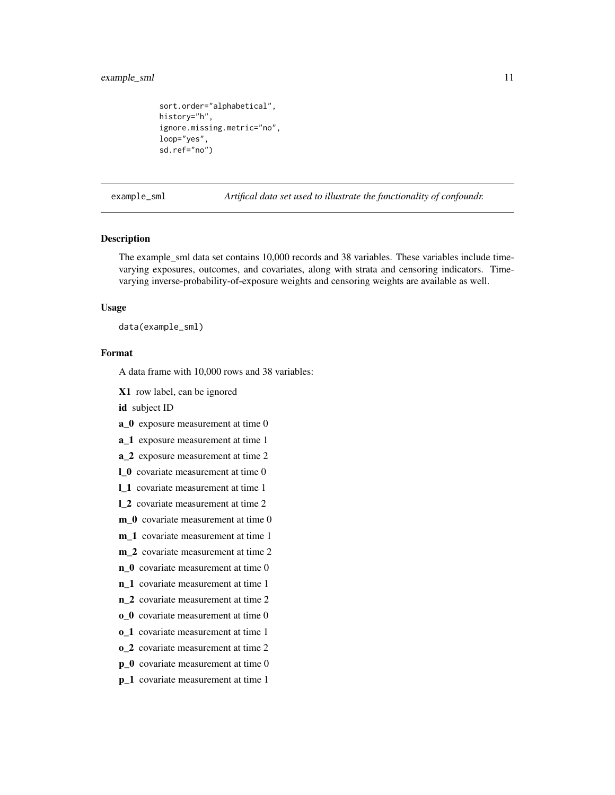# <span id="page-10-0"></span>example\_sml 11

```
sort.order="alphabetical",
history="h",
ignore.missing.metric="no",
loop="yes",
sd.ref="no")
```
example\_sml *Artifical data set used to illustrate the functionality of confoundr.*

# **Description**

The example\_sml data set contains 10,000 records and 38 variables. These variables include timevarying exposures, outcomes, and covariates, along with strata and censoring indicators. Timevarying inverse-probability-of-exposure weights and censoring weights are available as well.

#### Usage

data(example\_sml)

# Format

A data frame with 10,000 rows and 38 variables:

X1 row label, can be ignored

id subject ID

a\_0 exposure measurement at time 0

a\_1 exposure measurement at time 1

a\_2 exposure measurement at time 2

1 0 covariate measurement at time 0

l\_1 covariate measurement at time 1

l\_2 covariate measurement at time 2

m 0 covariate measurement at time 0

m\_1 covariate measurement at time 1

m\_2 covariate measurement at time 2

n\_0 covariate measurement at time 0

n\_1 covariate measurement at time 1

- n\_2 covariate measurement at time 2
- o\_0 covariate measurement at time 0
- o\_1 covariate measurement at time 1
- o\_2 covariate measurement at time 2
- p\_0 covariate measurement at time 0
- p\_1 covariate measurement at time 1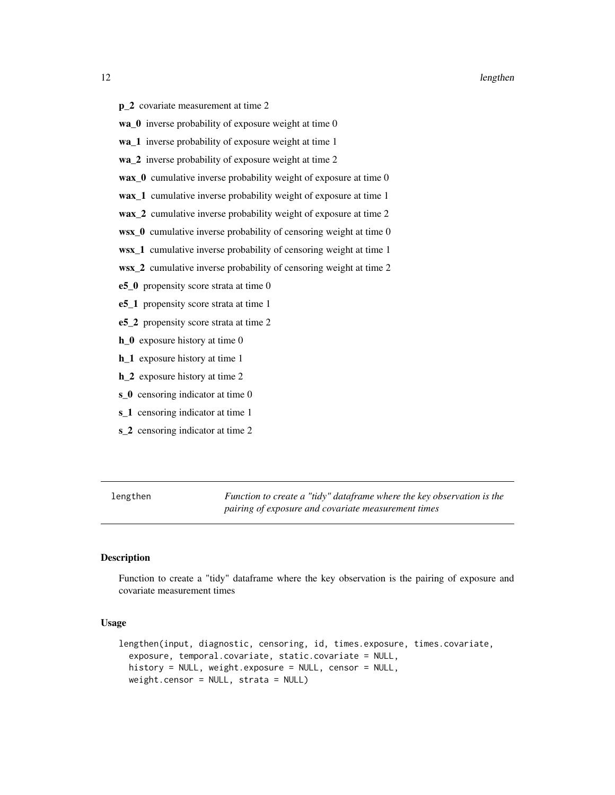- <span id="page-11-0"></span>p\_2 covariate measurement at time 2
- wa\_0 inverse probability of exposure weight at time 0
- wa\_1 inverse probability of exposure weight at time 1
- wa\_2 inverse probability of exposure weight at time 2
- wax\_0 cumulative inverse probability weight of exposure at time 0
- wax\_1 cumulative inverse probability weight of exposure at time 1
- wax\_2 cumulative inverse probability weight of exposure at time 2
- wsx\_0 cumulative inverse probability of censoring weight at time 0
- wsx\_1 cumulative inverse probability of censoring weight at time 1
- wsx\_2 cumulative inverse probability of censoring weight at time 2
- e5\_0 propensity score strata at time 0
- e5\_1 propensity score strata at time 1
- e5\_2 propensity score strata at time 2
- h<sub>1</sub>0 exposure history at time 0
- h<sub>1</sub> exposure history at time 1
- h\_2 exposure history at time 2
- s<sub>0</sub> censoring indicator at time 0
- s<sup>1</sup> censoring indicator at time 1
- s\_2 censoring indicator at time 2

lengthen *Function to create a "tidy" dataframe where the key observation is the pairing of exposure and covariate measurement times*

# **Description**

Function to create a "tidy" dataframe where the key observation is the pairing of exposure and covariate measurement times

# Usage

```
lengthen(input, diagnostic, censoring, id, times.exposure, times.covariate,
  exposure, temporal.covariate, static.covariate = NULL,
  history = NULL, weight.exposure = NULL, censor = NULL,
 weight.censor = NULL, strata = NULL)
```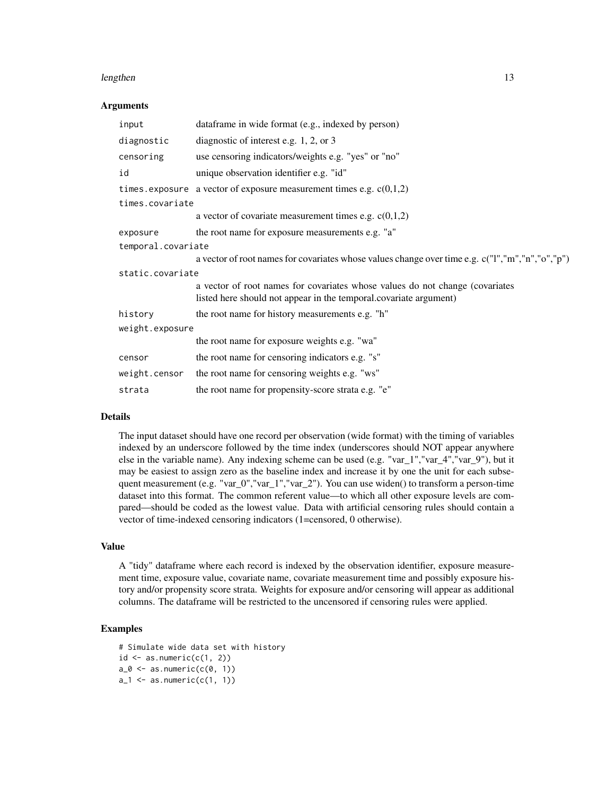#### lengthen 13

#### Arguments

| input              | dataframe in wide format (e.g., indexed by person)                                                                                                |  |
|--------------------|---------------------------------------------------------------------------------------------------------------------------------------------------|--|
| diagnostic         | diagnostic of interest e.g. $1, 2,$ or 3                                                                                                          |  |
| censoring          | use censoring indicators/weights e.g. "yes" or "no"                                                                                               |  |
| id                 | unique observation identifier e.g. "id"                                                                                                           |  |
|                    | times exposure a vector of exposure measurement times e.g. $c(0,1,2)$                                                                             |  |
| times.covariate    |                                                                                                                                                   |  |
|                    | a vector of covariate measurement times e.g. $c(0,1,2)$                                                                                           |  |
| exposure           | the root name for exposure measurements e.g. "a"                                                                                                  |  |
| temporal.covariate |                                                                                                                                                   |  |
|                    | a vector of root names for covariates whose values change over time e.g. c("I","m","n","o","p")                                                   |  |
| static.covariate   |                                                                                                                                                   |  |
|                    | a vector of root names for covariates whose values do not change (covariates<br>listed here should not appear in the temporal.covariate argument) |  |
| history            | the root name for history measurements e.g. "h"                                                                                                   |  |
| weight.exposure    |                                                                                                                                                   |  |
|                    | the root name for exposure weights e.g. "wa"                                                                                                      |  |
| censor             | the root name for censoring indicators e.g. "s"                                                                                                   |  |
| weight.censor      | the root name for censoring weights e.g. "ws"                                                                                                     |  |
| strata             | the root name for propensity-score strata e.g. "e"                                                                                                |  |

#### Details

The input dataset should have one record per observation (wide format) with the timing of variables indexed by an underscore followed by the time index (underscores should NOT appear anywhere else in the variable name). Any indexing scheme can be used (e.g. "var\_1","var\_4","var\_9"), but it may be easiest to assign zero as the baseline index and increase it by one the unit for each subsequent measurement (e.g. "var\_0","var\_1","var\_2"). You can use widen() to transform a person-time dataset into this format. The common referent value—to which all other exposure levels are compared—should be coded as the lowest value. Data with artificial censoring rules should contain a vector of time-indexed censoring indicators (1=censored, 0 otherwise).

# Value

A "tidy" dataframe where each record is indexed by the observation identifier, exposure measurement time, exposure value, covariate name, covariate measurement time and possibly exposure history and/or propensity score strata. Weights for exposure and/or censoring will appear as additional columns. The dataframe will be restricted to the uncensored if censoring rules were applied.

# Examples

```
# Simulate wide data set with history
id \leftarrow as.numeric(c(1, 2))a_0 \leftarrow as.numeric(c(0, 1))a_1 \leftarrow as.numeric(c(1, 1))
```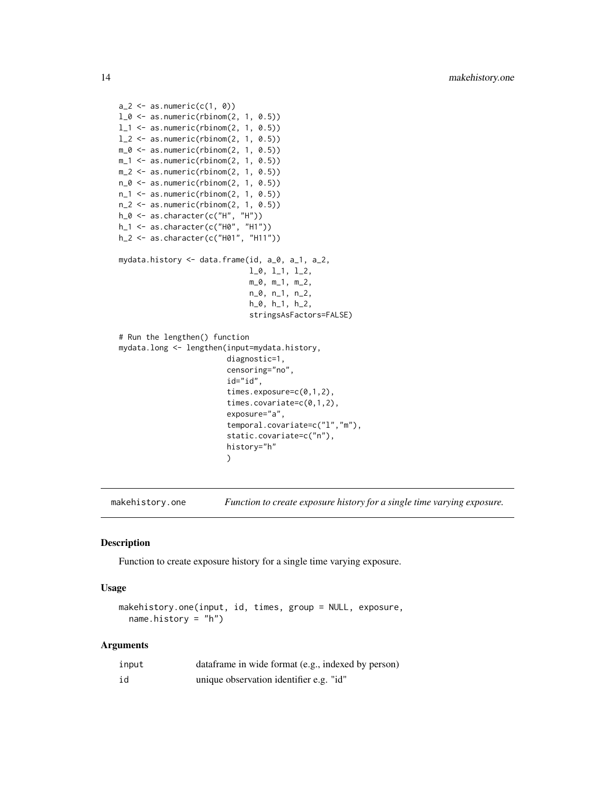```
a_2 < -as.numeric(c(1, 0))l_0 \leftarrow as.numeric(rbinom(2, 1, 0.5))
l_1 <- as.numeric(rbinom(2, 1, 0.5))
1_{2} <- as.numeric(rbinom(2, 1, 0.5))
m_0 \leftarrow as.numeric(rbinom(2, 1, 0.5))
m_1 <- as.numeric(rbinom(2, 1, 0.5))
m_2 < - as.numeric(rbinom(2, 1, 0.5))
n_0 \leftarrow as.numeric(rbinom(2, 1, 0.5))
n_1 <- as.numeric(rbinom(2, 1, 0.5))
n_2 < -as.numeric(rbinom(2, 1, 0.5))h_0 <- as.character(c("H", "H"))
h_1 <- as.character(c("H0", "H1"))
h_2 <- as.character(c("H01", "H11"))
mydata.history <- data.frame(id, a_0, a_1, a_2,
                              l_0, l_1, l_2,
                              m_0, m_1, m_2,
                              n_0, n_1, n_2,
                              h_0, h_1, h_2,
                              stringsAsFactors=FALSE)
# Run the lengthen() function
mydata.long <- lengthen(input=mydata.history,
                         diagnostic=1,
                         censoring="no",
                         id="id",
                         times.exposure=c(0,1,2),
                         times.covariate=c(0,1,2),
                         exposure="a",
                         temporal.covariate=c("l","m"),
                         static.covariate=c("n"),
                         history="h"
                         )
```
makehistory.one *Function to create exposure history for a single time varying exposure.*

#### Description

Function to create exposure history for a single time varying exposure.

#### Usage

makehistory.one(input, id, times, group = NULL, exposure, name.history = "h")

# Arguments

| input | data frame in wide format (e.g., indexed by person) |
|-------|-----------------------------------------------------|
| id    | unique observation identifier e.g. "id"             |

<span id="page-13-0"></span>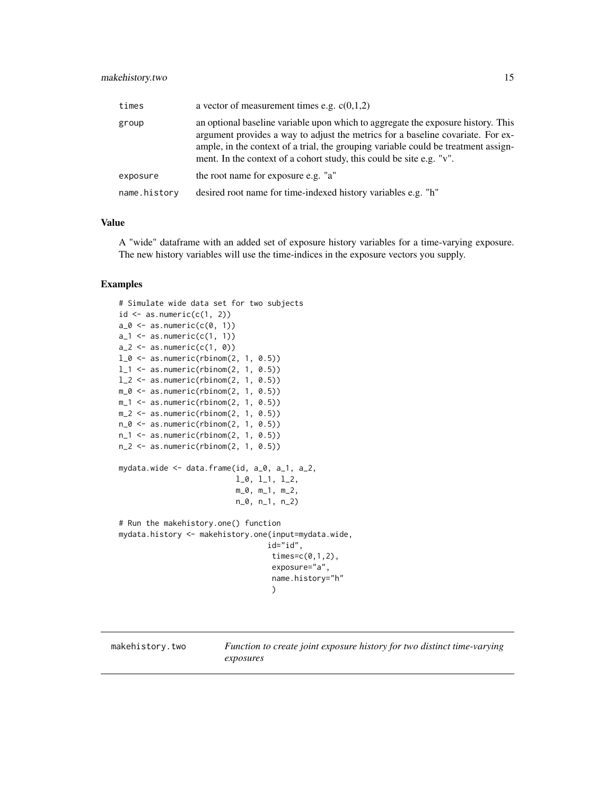# <span id="page-14-0"></span>makehistory.two 15

| times        | a vector of measurement times e.g. $c(0,1,2)$                                                                                                                                                                                                                                                                                     |
|--------------|-----------------------------------------------------------------------------------------------------------------------------------------------------------------------------------------------------------------------------------------------------------------------------------------------------------------------------------|
| group        | an optional baseline variable upon which to aggregate the exposure history. This<br>argument provides a way to adjust the metrics for a baseline covariate. For ex-<br>ample, in the context of a trial, the grouping variable could be treatment assign-<br>ment. In the context of a cohort study, this could be site e.g. "v". |
| exposure     | the root name for exposure e.g. "a"                                                                                                                                                                                                                                                                                               |
| name.history | desired root name for time-indexed history variables e.g. "h"                                                                                                                                                                                                                                                                     |

# Value

A "wide" dataframe with an added set of exposure history variables for a time-varying exposure. The new history variables will use the time-indices in the exposure vectors you supply.

# Examples

```
# Simulate wide data set for two subjects
id \leftarrow as.numeric(c(1, 2))a_0 \leftarrow as.numeric(c(0, 1))a_1 \leftarrow as.numeric(c(1, 1))a_2 < -as.numeric(c(1, 0))l_0 \leftarrow as.numeric(rbinom(2, 1, 0.5))
l_1 <- as.numeric(rbinom(2, 1, 0.5))
1_{2} <- as.numeric(rbinom(2, 1, 0.5))
m_0 \leftarrow as.numeric(rbinom(2, 1, 0.5))
m_1 <- as.numeric(rbinom(2, 1, 0.5))
m_2 < - as.numeric(rbinom(2, 1, 0.5))
n_0 \leftarrow as.numeric(rbinom(2, 1, 0.5))
n_1 <- as.numeric(rbinom(2, 1, 0.5))
n_2 <- as.numeric(rbinom(2, 1, 0.5))
mydata.wide <- data.frame(id, a_0, a_1, a_2,
                            l_0, l_1, l_2,
                            m_0, m_1, m_2,
                            n_0, n_1, n_2)
# Run the makehistory.one() function
mydata.history <- makehistory.one(input=mydata.wide,
                                    id="id",
                                     times=c(0,1,2),
                                     exposure="a",
                                     name.history="h"
                                     \lambda
```
makehistory.two *Function to create joint exposure history for two distinct time-varying exposures*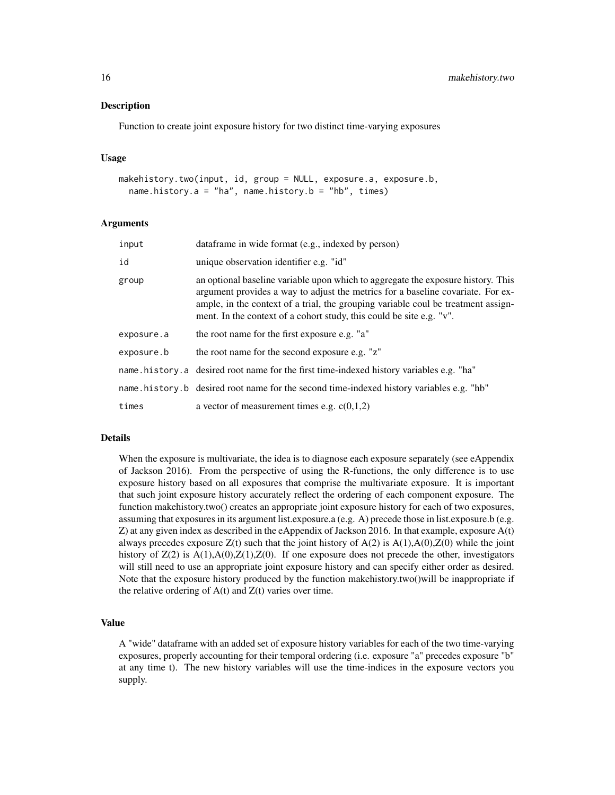Function to create joint exposure history for two distinct time-varying exposures

#### Usage

```
makehistory.two(input, id, group = NULL, exposure.a, exposure.b,
  name.history.a = "ha", name.history.b = "hb", times)
```
#### Arguments

| input      | dataframe in wide format (e.g., indexed by person)                                                                                                                                                                                                                                                                               |
|------------|----------------------------------------------------------------------------------------------------------------------------------------------------------------------------------------------------------------------------------------------------------------------------------------------------------------------------------|
| id         | unique observation identifier e.g. "id"                                                                                                                                                                                                                                                                                          |
| group      | an optional baseline variable upon which to aggregate the exposure history. This<br>argument provides a way to adjust the metrics for a baseline covariate. For ex-<br>ample, in the context of a trial, the grouping variable coul be treatment assign-<br>ment. In the context of a cohort study, this could be site e.g. "v". |
| exposure.a | the root name for the first exposure e.g. "a"                                                                                                                                                                                                                                                                                    |
| exposure.b | the root name for the second exposure e.g. "z"                                                                                                                                                                                                                                                                                   |
|            | name. history. a desired root name for the first time-indexed history variables e.g. "ha"                                                                                                                                                                                                                                        |
|            | name history b desired root name for the second time-indexed history variables e.g. "hb"                                                                                                                                                                                                                                         |
| times      | a vector of measurement times e.g. $c(0,1,2)$                                                                                                                                                                                                                                                                                    |

#### Details

When the exposure is multivariate, the idea is to diagnose each exposure separately (see eAppendix of Jackson 2016). From the perspective of using the R-functions, the only difference is to use exposure history based on all exposures that comprise the multivariate exposure. It is important that such joint exposure history accurately reflect the ordering of each component exposure. The function makehistory.two() creates an appropriate joint exposure history for each of two exposures, assuming that exposures in its argument list.exposure.a (e.g. A) precede those in list.exposure.b (e.g. Z) at any given index as described in the eAppendix of Jackson 2016. In that example, exposure A(t) always precedes exposure  $Z(t)$  such that the joint history of  $A(2)$  is  $A(1),A(0),Z(0)$  while the joint history of  $Z(2)$  is  $A(1), A(0), Z(1), Z(0)$ . If one exposure does not precede the other, investigators will still need to use an appropriate joint exposure history and can specify either order as desired. Note that the exposure history produced by the function makehistory.two()will be inappropriate if the relative ordering of  $A(t)$  and  $Z(t)$  varies over time.

# Value

A "wide" dataframe with an added set of exposure history variables for each of the two time-varying exposures, properly accounting for their temporal ordering (i.e. exposure "a" precedes exposure "b" at any time t). The new history variables will use the time-indices in the exposure vectors you supply.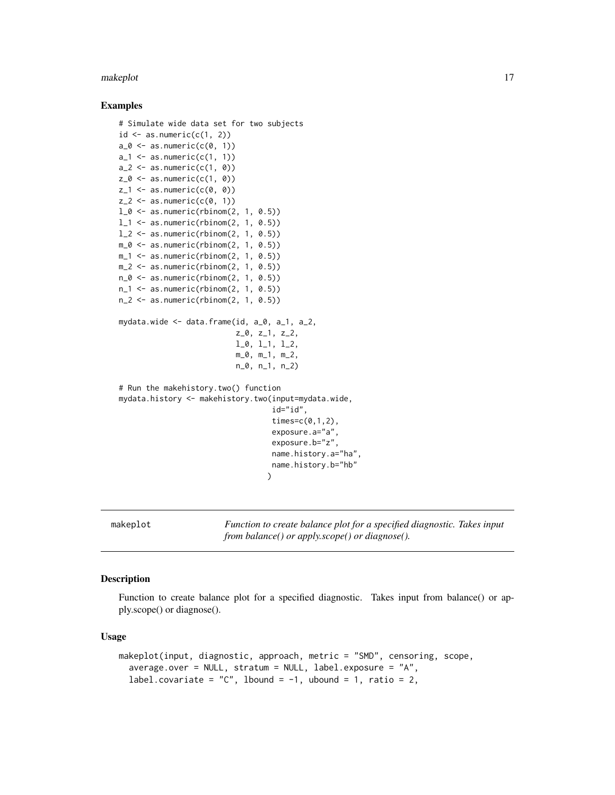#### <span id="page-16-0"></span>makeplot that the contract of the contract of the contract of the contract of the contract of the contract of the contract of the contract of the contract of the contract of the contract of the contract of the contract of

#### Examples

```
# Simulate wide data set for two subjects
id \leq as.numeric(c(1, 2))
a_0 \leftarrow as.numeric(c(0, 1))a_1 \leftarrow as.numeric(c(1, 1))a_2 < -a.s.numeric(c(1, 0))z_0 \leftarrow as.numeric(c(1, 0))
z_1 <- as.numeric(c(0, 0))
z_2 < - as.numeric(c(0, 1))
l_0 <- as.numeric(rbinom(2, 1, 0.5))
l_1 <- as.numeric(rbinom(2, 1, 0.5))
1_{2} <- as.numeric(rbinom(2, 1, 0.5))
m_0 \leftarrow as.numeric(rbinom(2, 1, 0.5))
m_1 <- as.numeric(rbinom(2, 1, 0.5))
m_2 < - as.numeric(rbinom(2, 1, 0.5))
n_0 \leftarrow as.numeric(rbinom(2, 1, 0.5))
n_1 <- as.numeric(rbinom(2, 1, 0.5))
n_2 < - as.numeric(rbinom(2, 1, 0.5))
mydata.wide <- data.frame(id, a_0, a_1, a_2,
                            z_0, z_1, z_2,
                            l_0, l_1, l_2,
                           m_0, m_1, m_2,
                           n_0, n_1, n_2)
# Run the makehistory.two() function
mydata.history <- makehistory.two(input=mydata.wide,
                                     id="id",
                                    times = c(0,1,2),
                                    exposure.a="a",
                                    exposure.b="z",
                                    name.history.a="ha",
                                    name.history.b="hb"
                                   )
```
makeplot *Function to create balance plot for a specified diagnostic. Takes input from balance() or apply.scope() or diagnose().*

# Description

Function to create balance plot for a specified diagnostic. Takes input from balance() or apply.scope() or diagnose().

#### Usage

```
makeplot(input, diagnostic, approach, metric = "SMD", censoring, scope,
  average.over = NULL, stratum = NULL, label.exposure = "A",
  label.covariate = "C", lbound = -1, ubound = 1, ratio = 2,
```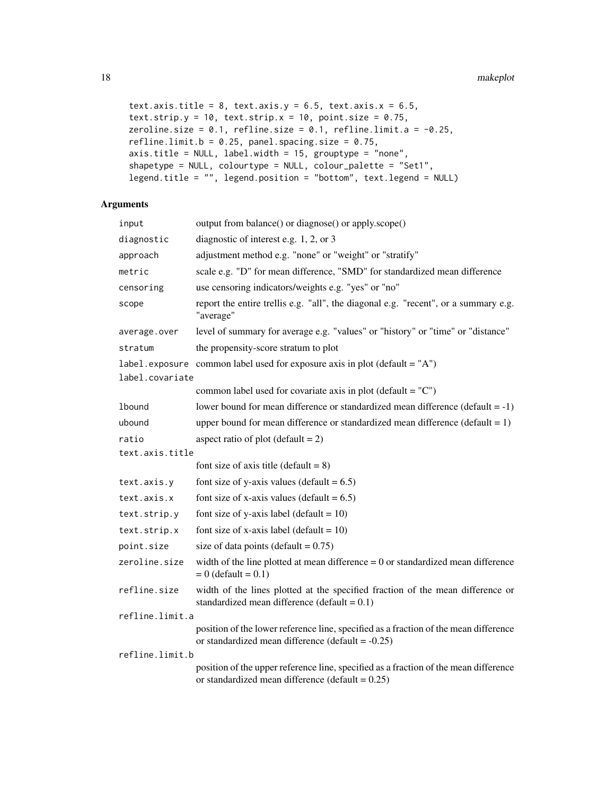```
text.axis.title = 8, text.axis.y = 6.5, text.axis.x = 6.5,
text.strip.y = 10, text.strip.x = 10, point.size = 0.75,
zeroline.size = 0.1, refline.size = 0.1, refline.limit.a = -0.25,
refline.limit.b = 0.25, panel.spacing.size = 0.75,
axis.title = NULL, label.width = 15, grouptype = "none",
shapetype = NULL, colourtype = NULL, colour_palette = "Set1",
legend.title = "", legend.position = "bottom", text.legend = NULL)
```
# Arguments

| input           | output from balance() or diagnose() or apply.scope()                                                                                         |  |
|-----------------|----------------------------------------------------------------------------------------------------------------------------------------------|--|
| diagnostic      | diagnostic of interest e.g. $1, 2$ , or 3                                                                                                    |  |
| approach        | adjustment method e.g. "none" or "weight" or "stratify"                                                                                      |  |
| metric          | scale e.g. "D" for mean difference, "SMD" for standardized mean difference                                                                   |  |
| censoring       | use censoring indicators/weights e.g. "yes" or "no"                                                                                          |  |
| scope           | report the entire trellis e.g. "all", the diagonal e.g. "recent", or a summary e.g.<br>"average"                                             |  |
| average.over    | level of summary for average e.g. "values" or "history" or "time" or "distance"                                                              |  |
| stratum         | the propensity-score stratum to plot                                                                                                         |  |
|                 | label. exposure common label used for exposure axis in plot (default = $'A$ )                                                                |  |
| label.covariate |                                                                                                                                              |  |
|                 | common label used for covariate axis in plot (default = $°C$ )                                                                               |  |
| lbound          | lower bound for mean difference or standardized mean difference (default $= -1$ )                                                            |  |
| ubound          | upper bound for mean difference or standardized mean difference ( $delta = 1$ )                                                              |  |
| ratio           | aspect ratio of plot (default $= 2$ )                                                                                                        |  |
| text.axis.title |                                                                                                                                              |  |
|                 | font size of axis title (default = $8$ )                                                                                                     |  |
| text.axis.y     | font size of y-axis values (default = $6.5$ )                                                                                                |  |
| text.axis.x     | font size of x-axis values (default = $6.5$ )                                                                                                |  |
| text.strip.y    | font size of y-axis label (default = $10$ )                                                                                                  |  |
| text.strip.x    | font size of x-axis label (default = $10$ )                                                                                                  |  |
| point.size      | size of data points (default = $0.75$ )                                                                                                      |  |
| zeroline.size   | width of the line plotted at mean difference $= 0$ or standardized mean difference<br>$= 0$ (default = 0.1)                                  |  |
| refline.size    | width of the lines plotted at the specified fraction of the mean difference or<br>standardized mean difference (default = $0.1$ )            |  |
| refline.limit.a |                                                                                                                                              |  |
|                 | position of the lower reference line, specified as a fraction of the mean difference<br>or standardized mean difference (default = $-0.25$ ) |  |
| refline.limit.b |                                                                                                                                              |  |
|                 | position of the upper reference line, specified as a fraction of the mean difference<br>or standardized mean difference (default = $0.25$ )  |  |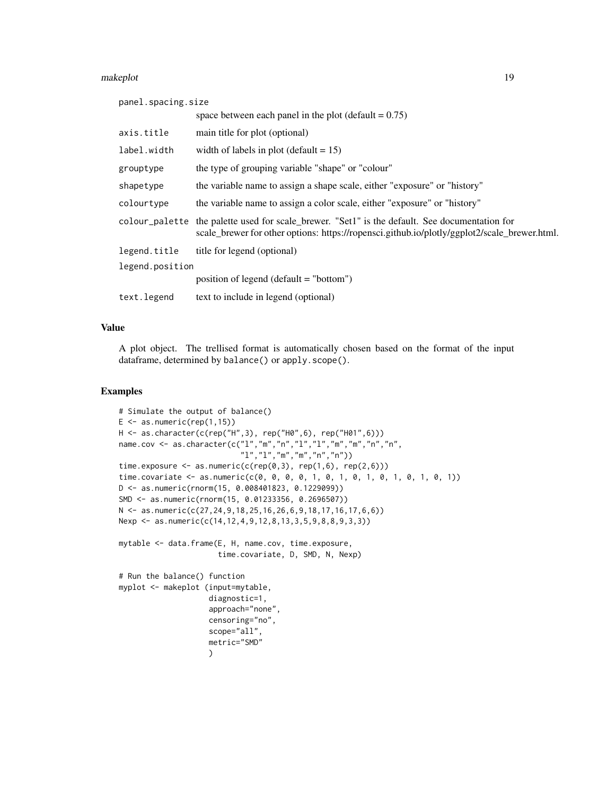#### makeplot that the contract of the contract of the contract of the contract of the contract of the contract of the contract of the contract of the contract of the contract of the contract of the contract of the contract of

| panel.spacing.size |                                                                                                                                                                                 |
|--------------------|---------------------------------------------------------------------------------------------------------------------------------------------------------------------------------|
|                    | space between each panel in the plot (default $= 0.75$ )                                                                                                                        |
| axis.title         | main title for plot (optional)                                                                                                                                                  |
| label.width        | width of labels in plot (default $= 15$ )                                                                                                                                       |
| grouptype          | the type of grouping variable "shape" or "colour"                                                                                                                               |
| shapetype          | the variable name to assign a shape scale, either "exposure" or "history"                                                                                                       |
| colourtype         | the variable name to assign a color scale, either "exposure" or "history"                                                                                                       |
| colour_palette     | the palette used for scale_brewer. "Set1" is the default. See documentation for<br>scale_brewer for other options: https://ropensci.github.io/plotly/ggplot2/scale_brewer.html. |
| legend.title       | title for legend (optional)                                                                                                                                                     |
| legend.position    |                                                                                                                                                                                 |
|                    | position of legend (default $=$ "bottom")                                                                                                                                       |
| text.legend        | text to include in legend (optional)                                                                                                                                            |

# Value

A plot object. The trellised format is automatically chosen based on the format of the input dataframe, determined by balance() or apply.scope().

# Examples

```
# Simulate the output of balance()
E \leftarrow as.numeric(rep(1,15))H <- as.character(c(rep("H",3), rep("H0",6), rep("H01",6)))
name.cov <- as.character(c("l","m","n","l","l","m","m","n","n",
                           "l","l","m","m","n","n"))
time.exposure \leq as.numeric(c(rep(0,3), rep(1,6), rep(2,6)))
time.covariate <- as.numeric(c(0, 0, 0, 0, 1, 0, 1, 0, 1, 0, 1, 0, 1, 0, 1))
D <- as.numeric(rnorm(15, 0.008401823, 0.1229099))
SMD <- as.numeric(rnorm(15, 0.01233356, 0.2696507))
N <- as.numeric(c(27,24,9,18,25,16,26,6,9,18,17,16,17,6,6))
Nexp <- as.numeric(c(14,12,4,9,12,8,13,3,5,9,8,8,9,3,3))
mytable <- data.frame(E, H, name.cov, time.exposure,
                      time.covariate, D, SMD, N, Nexp)
# Run the balance() function
myplot <- makeplot (input=mytable,
                    diagnostic=1,
                    approach="none",
                    censoring="no",
                    scope="all",
                    metric="SMD"
                    )
```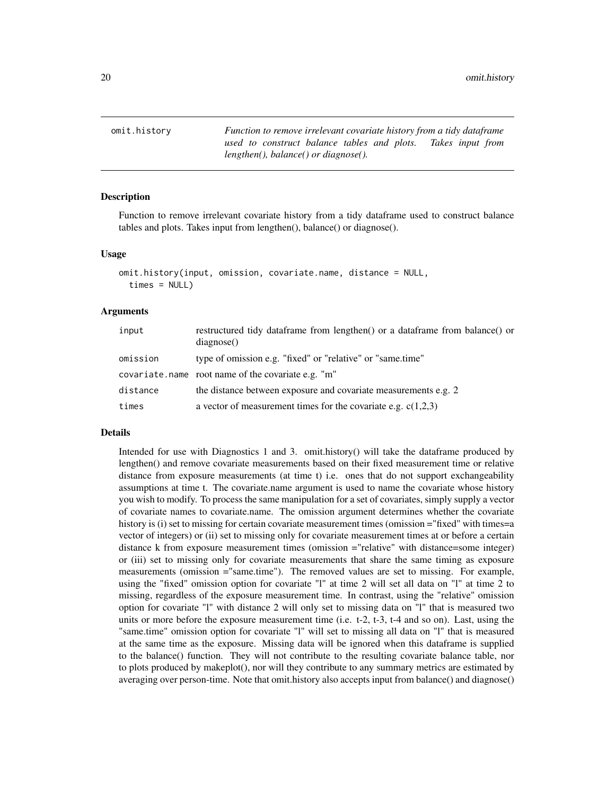<span id="page-19-0"></span>omit.history *Function to remove irrelevant covariate history from a tidy dataframe used to construct balance tables and plots. Takes input from lengthen(), balance() or diagnose().*

#### Description

Function to remove irrelevant covariate history from a tidy dataframe used to construct balance tables and plots. Takes input from lengthen(), balance() or diagnose().

#### Usage

```
omit.history(input, omission, covariate.name, distance = NULL,
  times = NULL)
```
#### Arguments

| input    | restructured tidy dataframe from lengthen() or a dataframe from balance() or<br>diagnose() |
|----------|--------------------------------------------------------------------------------------------|
| omission | type of omission e.g. "fixed" or "relative" or "same.time"                                 |
|          | covariate.name root name of the covariate e.g. "m"                                         |
| distance | the distance between exposure and covariate measurements e.g. 2                            |
| times    | a vector of measurement times for the covariate e.g. $c(1,2,3)$                            |

# Details

Intended for use with Diagnostics 1 and 3. omit.history() will take the dataframe produced by lengthen() and remove covariate measurements based on their fixed measurement time or relative distance from exposure measurements (at time t) i.e. ones that do not support exchangeability assumptions at time t. The covariate.name argument is used to name the covariate whose history you wish to modify. To process the same manipulation for a set of covariates, simply supply a vector of covariate names to covariate.name. The omission argument determines whether the covariate history is (i) set to missing for certain covariate measurement times (omission ="fixed" with times=a vector of integers) or (ii) set to missing only for covariate measurement times at or before a certain distance k from exposure measurement times (omission ="relative" with distance=some integer) or (iii) set to missing only for covariate measurements that share the same timing as exposure measurements (omission ="same.time"). The removed values are set to missing. For example, using the "fixed" omission option for covariate "l" at time 2 will set all data on "l" at time 2 to missing, regardless of the exposure measurement time. In contrast, using the "relative" omission option for covariate "l" with distance 2 will only set to missing data on "l" that is measured two units or more before the exposure measurement time (i.e. t-2, t-3, t-4 and so on). Last, using the "same.time" omission option for covariate "l" will set to missing all data on "l" that is measured at the same time as the exposure. Missing data will be ignored when this dataframe is supplied to the balance() function. They will not contribute to the resulting covariate balance table, nor to plots produced by makeplot(), nor will they contribute to any summary metrics are estimated by averaging over person-time. Note that omit.history also accepts input from balance() and diagnose()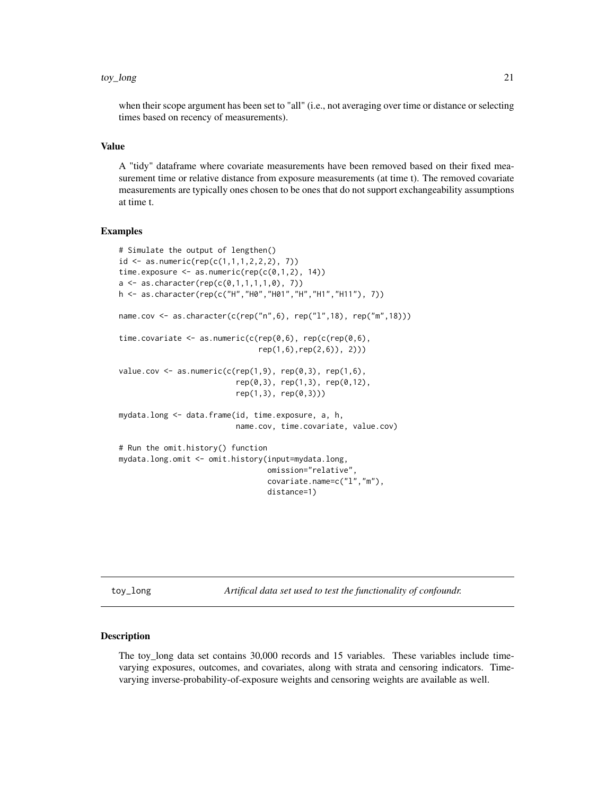#### <span id="page-20-0"></span>toy\_long 21

when their scope argument has been set to "all" (i.e., not averaging over time or distance or selecting times based on recency of measurements).

#### Value

A "tidy" dataframe where covariate measurements have been removed based on their fixed measurement time or relative distance from exposure measurements (at time t). The removed covariate measurements are typically ones chosen to be ones that do not support exchangeability assumptions at time t.

# Examples

```
# Simulate the output of lengthen()
id \leq as.numeric(rep(c(1,1,1,2,2,2), 7))time.exposure \leq as.numeric(rep(c(0,1,2), 14))
a \leq -as \cdot character(rep(c(0,1,1,1,1,0), 7))h <- as.character(rep(c("H","H0","H01","H","H1","H11"), 7))
name.cov <- as.character(c(rep("n",6), rep("l",18), rep("m",18)))
time.covariate <- as.numeric(c(rep(\theta,6)), rep(c(rep(\theta,6)),
                                rep(1,6),rep(2,6)), 2)))
value.cov \leq as.numeric(c(rep(1,9), rep(0,3), rep(1,6),
                           rep(0,3), rep(1,3), rep(0,12),
                           rep(1,3), rep(0,3))mydata.long <- data.frame(id, time.exposure, a, h,
                           name.cov, time.covariate, value.cov)
# Run the omit.history() function
mydata.long.omit <- omit.history(input=mydata.long,
                                  omission="relative",
                                  covariate.name=c("l","m"),
                                  distance=1)
```
toy\_long *Artifical data set used to test the functionality of confoundr.*

#### **Description**

The toy\_long data set contains 30,000 records and 15 variables. These variables include timevarying exposures, outcomes, and covariates, along with strata and censoring indicators. Timevarying inverse-probability-of-exposure weights and censoring weights are available as well.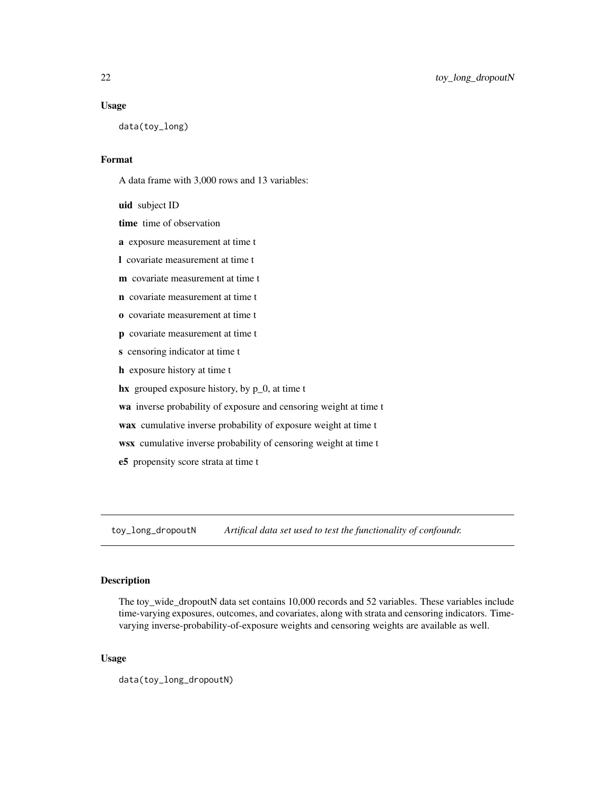#### <span id="page-21-0"></span>Usage

data(toy\_long)

# Format

A data frame with 3,000 rows and 13 variables:

uid subject ID

time time of observation

a exposure measurement at time t

- l covariate measurement at time t
- m covariate measurement at time t
- n covariate measurement at time t
- o covariate measurement at time t
- p covariate measurement at time t
- s censoring indicator at time t
- h exposure history at time t
- hx grouped exposure history, by  $p_0$ , at time t

wa inverse probability of exposure and censoring weight at time t

- wax cumulative inverse probability of exposure weight at time t
- wsx cumulative inverse probability of censoring weight at time t
- e5 propensity score strata at time t

toy\_long\_dropoutN *Artifical data set used to test the functionality of confoundr.*

# Description

The toy\_wide\_dropoutN data set contains 10,000 records and 52 variables. These variables include time-varying exposures, outcomes, and covariates, along with strata and censoring indicators. Timevarying inverse-probability-of-exposure weights and censoring weights are available as well.

#### Usage

data(toy\_long\_dropoutN)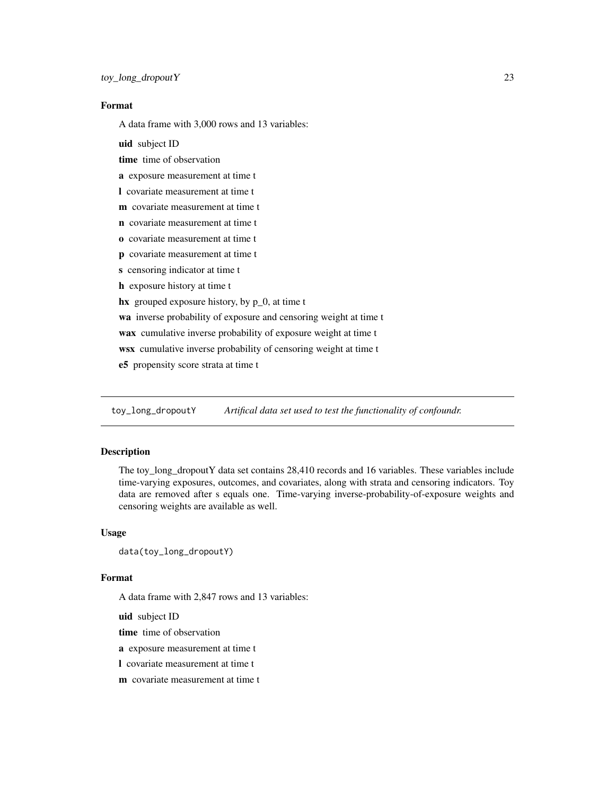# <span id="page-22-0"></span>Format

A data frame with 3,000 rows and 13 variables:

uid subject ID

time time of observation

a exposure measurement at time t

l covariate measurement at time t

m covariate measurement at time t

- n covariate measurement at time t
- o covariate measurement at time t
- p covariate measurement at time t
- s censoring indicator at time t
- h exposure history at time t

hx grouped exposure history, by p\_0, at time t

wa inverse probability of exposure and censoring weight at time t

wax cumulative inverse probability of exposure weight at time t

wsx cumulative inverse probability of censoring weight at time t

e5 propensity score strata at time t

toy\_long\_dropoutY *Artifical data set used to test the functionality of confoundr.*

# Description

The toy\_long\_dropoutY data set contains 28,410 records and 16 variables. These variables include time-varying exposures, outcomes, and covariates, along with strata and censoring indicators. Toy data are removed after s equals one. Time-varying inverse-probability-of-exposure weights and censoring weights are available as well.

#### Usage

```
data(toy_long_dropoutY)
```
#### Format

A data frame with 2,847 rows and 13 variables:

uid subject ID

time time of observation

a exposure measurement at time t

l covariate measurement at time t

**m** covariate measurement at time t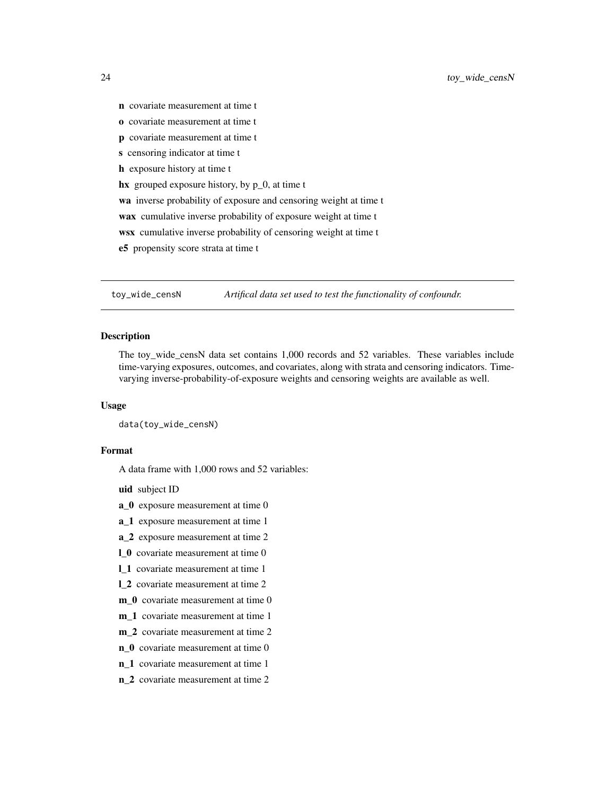- <span id="page-23-0"></span>n covariate measurement at time t
- o covariate measurement at time t
- p covariate measurement at time t
- s censoring indicator at time t
- h exposure history at time t
- hx grouped exposure history, by p\_0, at time t

wa inverse probability of exposure and censoring weight at time t

wax cumulative inverse probability of exposure weight at time t

- wsx cumulative inverse probability of censoring weight at time t
- e5 propensity score strata at time t

toy\_wide\_censN *Artifical data set used to test the functionality of confoundr.*

### Description

The toy\_wide\_censN data set contains 1,000 records and 52 variables. These variables include time-varying exposures, outcomes, and covariates, along with strata and censoring indicators. Timevarying inverse-probability-of-exposure weights and censoring weights are available as well.

#### Usage

data(toy\_wide\_censN)

#### Format

A data frame with 1,000 rows and 52 variables:

uid subject ID

- a\_0 exposure measurement at time 0
- a\_1 exposure measurement at time 1
- a\_2 exposure measurement at time 2
- l\_0 covariate measurement at time 0
- l\_1 covariate measurement at time 1
- l\_2 covariate measurement at time 2
- m\_0 covariate measurement at time 0
- m\_1 covariate measurement at time 1
- m\_2 covariate measurement at time 2
- n\_0 covariate measurement at time 0
- n\_1 covariate measurement at time 1
- n\_2 covariate measurement at time 2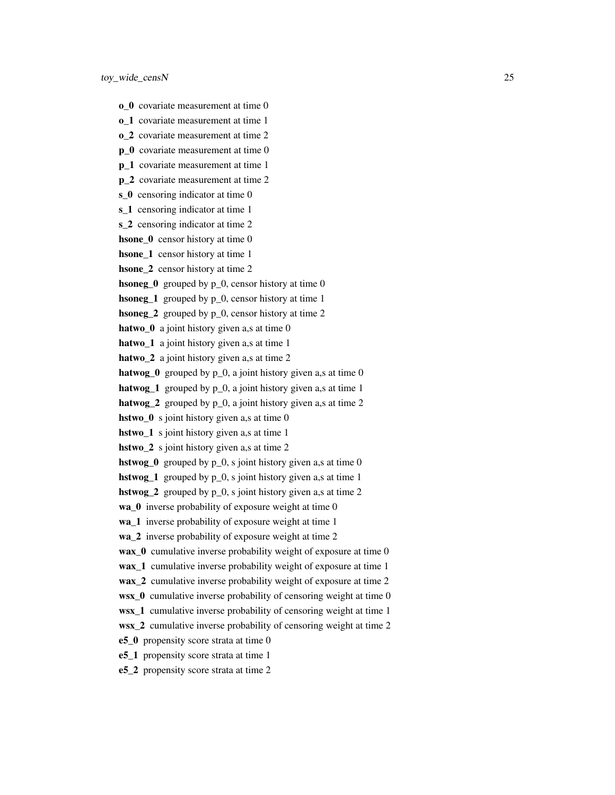- o\_0 covariate measurement at time 0
- o 1 covariate measurement at time 1
- o\_2 covariate measurement at time 2
- **p\_0** covariate measurement at time 0
- p 1 covariate measurement at time 1
- p 2 covariate measurement at time 2
- s 0 censoring indicator at time 0
- s<sub>1</sub> censoring indicator at time 1
- s 2 censoring indicator at time 2
- hsone 0 censor history at time 0
- hsone 1 censor history at time 1
- hsone\_2 censor history at time 2
- **hsoneg**  $\theta$  grouped by p<sub>0</sub>, censor history at time 0
- hsoneg\_1 grouped by p\_0, censor history at time 1
- hsoneg\_2 grouped by p\_0, censor history at time 2
- hatwo<sub>\_0</sub> a joint history given a,s at time 0
- hatwo<sub>\_1</sub> a joint history given a,s at time 1
- hatwo<sub>\_2</sub> a joint history given a,s at time 2
- hatwog  $\theta$  grouped by p\_0, a joint history given a,s at time 0
- hatwog<sub>1</sub> grouped by p<sub>-0</sub>, a joint history given a,s at time 1
- hatwog  $2$  grouped by  $p_0$ , a joint history given a,s at time 2
- hstwo<sub>\_0</sub> s joint history given a,s at time 0
- hstwo 1 s joint history given a,s at time 1
- hstwo<sub>2</sub> s joint history given a,s at time 2
- **hstwog**  $\bf{0}$  grouped by  $\bf{p}$   $\bf{0}$ , s joint history given a,s at time 0
- **hstwog** 1 grouped by p\_0, s joint history given a,s at time 1
- hstwog<sub>2</sub> grouped by  $p_0$ , s joint history given a,s at time 2
- wa\_0 inverse probability of exposure weight at time 0
- wa 1 inverse probability of exposure weight at time 1
- wa 2 inverse probability of exposure weight at time 2
- wax  $\theta$  cumulative inverse probability weight of exposure at time 0
- wax\_1 cumulative inverse probability weight of exposure at time 1
- wax 2 cumulative inverse probability weight of exposure at time 2
- wsx  $\theta$  cumulative inverse probability of censoring weight at time 0
- wsx\_1 cumulative inverse probability of censoring weight at time 1
- wsx 2 cumulative inverse probability of censoring weight at time 2
- e5\_0 propensity score strata at time 0
- e5\_1 propensity score strata at time 1
- e5\_2 propensity score strata at time 2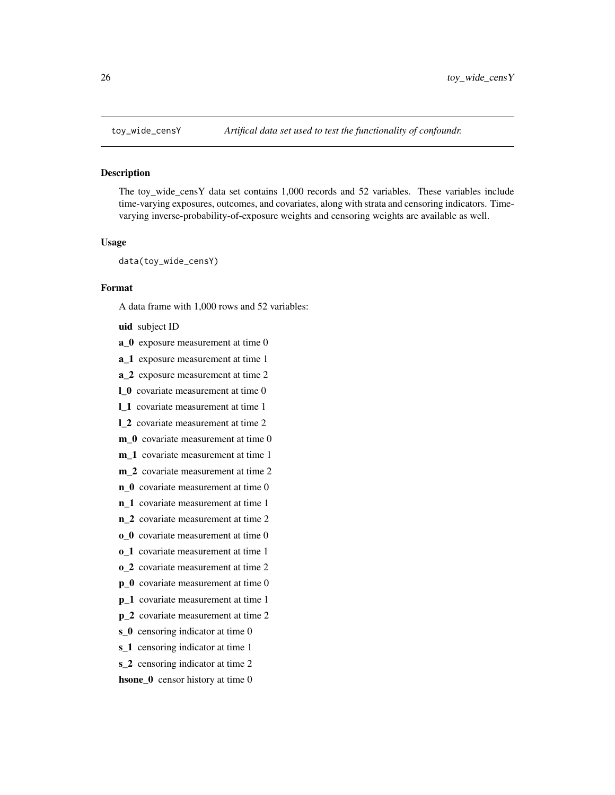<span id="page-25-0"></span>

The toy\_wide\_censY data set contains 1,000 records and 52 variables. These variables include time-varying exposures, outcomes, and covariates, along with strata and censoring indicators. Timevarying inverse-probability-of-exposure weights and censoring weights are available as well.

#### Usage

data(toy\_wide\_censY)

# Format

A data frame with 1,000 rows and 52 variables:

uid subject ID

- a\_0 exposure measurement at time 0
- a\_1 exposure measurement at time 1
- a\_2 exposure measurement at time 2
- l\_0 covariate measurement at time 0
- l\_1 covariate measurement at time 1
- l\_2 covariate measurement at time 2
- m<sub>0</sub> covariate measurement at time 0
- m 1 covariate measurement at time 1
- m 2 covariate measurement at time 2
- n 0 covariate measurement at time 0
- n\_1 covariate measurement at time 1
- n\_2 covariate measurement at time 2
- o\_0 covariate measurement at time 0
- o\_1 covariate measurement at time 1
- o\_2 covariate measurement at time 2
- p\_0 covariate measurement at time 0
- p\_1 covariate measurement at time 1
- p\_2 covariate measurement at time 2
- s<sub>0</sub> censoring indicator at time 0
- s<sub>1</sub> censoring indicator at time 1
- s\_2 censoring indicator at time 2
- hsone\_0 censor history at time 0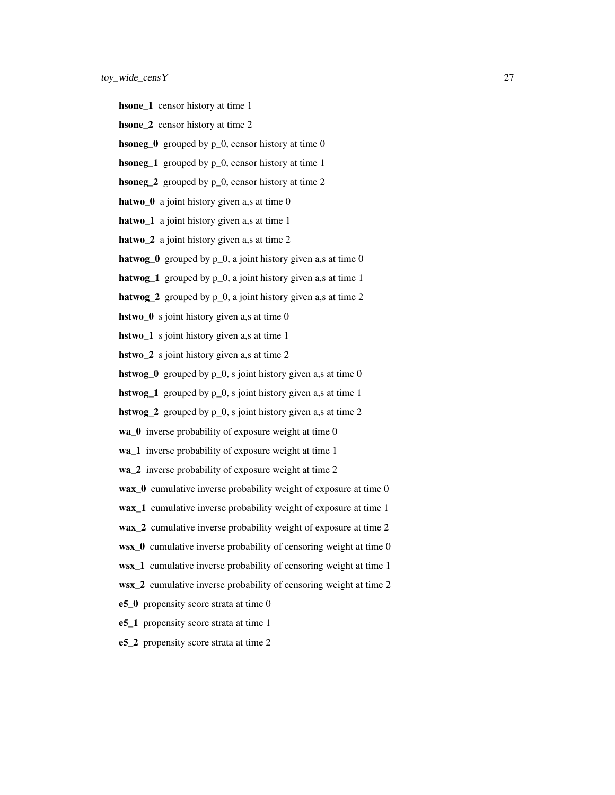- hsone\_1 censor history at time 1
- hsone 2 censor history at time 2
- **hsoneg**  $\bf{0}$  grouped by  $\bf{p}$   $\bf{0}$ , censor history at time 0
- hsoneg\_1 grouped by p\_0, censor history at time 1
- hsoneg<sub>2</sub> grouped by  $p_0$ , censor history at time 2
- hatwo  $\theta$  a joint history given a,s at time 0
- hatwo<sub>\_1</sub> a joint history given a,s at time 1
- hatwo<sub>\_2</sub> a joint history given a,s at time 2
- hatwog\_0 grouped by  $p_0$ , a joint history given a,s at time 0
- **hatwog** 1 grouped by  $p_0$ , a joint history given a,s at time 1
- hatwog\_2 grouped by  $p_0$ , a joint history given a,s at time 2
- hstwo\_0 s joint history given a,s at time 0
- hstwo\_1 s joint history given a,s at time 1
- hstwo<sub>2</sub> s joint history given a,s at time 2
- **hstwog**<sup>0</sup> grouped by  $p_0$ , s joint history given a,s at time 0
- **hstwog** 1 grouped by  $p_0$ , s joint history given a,s at time 1
- hstwog\_2 grouped by p\_0, s joint history given a,s at time 2
- wa\_0 inverse probability of exposure weight at time 0
- wa 1 inverse probability of exposure weight at time 1
- wa\_2 inverse probability of exposure weight at time 2
- wax\_0 cumulative inverse probability weight of exposure at time 0
- wax\_1 cumulative inverse probability weight of exposure at time 1
- wax\_2 cumulative inverse probability weight of exposure at time 2
- wsx\_0 cumulative inverse probability of censoring weight at time 0
- wsx\_1 cumulative inverse probability of censoring weight at time 1
- wsx\_2 cumulative inverse probability of censoring weight at time 2
- e5\_0 propensity score strata at time 0
- e5\_1 propensity score strata at time 1
- e5\_2 propensity score strata at time 2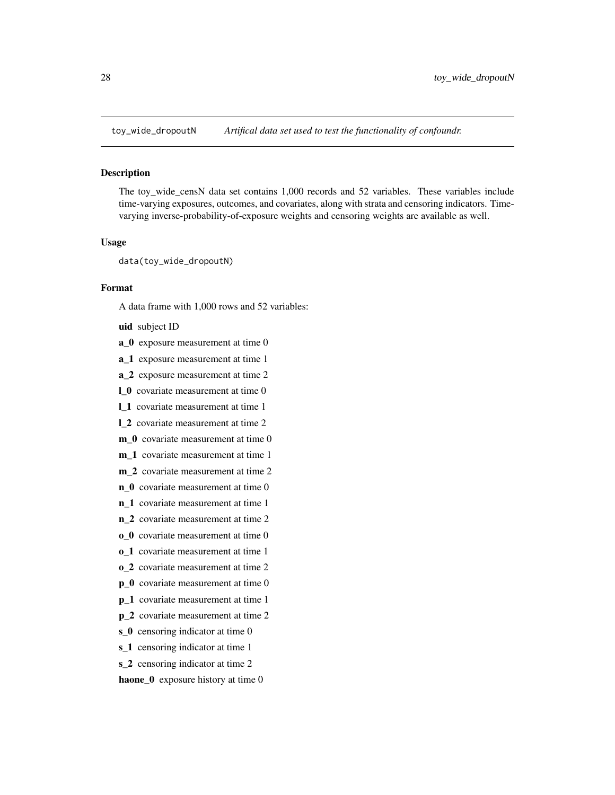<span id="page-27-0"></span>

The toy\_wide\_censN data set contains 1,000 records and 52 variables. These variables include time-varying exposures, outcomes, and covariates, along with strata and censoring indicators. Timevarying inverse-probability-of-exposure weights and censoring weights are available as well.

# Usage

data(toy\_wide\_dropoutN)

# Format

A data frame with 1,000 rows and 52 variables:

uid subject ID

- a\_0 exposure measurement at time 0
- a\_1 exposure measurement at time 1
- a\_2 exposure measurement at time 2
- l\_0 covariate measurement at time 0
- l\_1 covariate measurement at time 1
- l\_2 covariate measurement at time 2
- m<sub>0</sub> covariate measurement at time 0
- m 1 covariate measurement at time 1
- m 2 covariate measurement at time 2
- n 0 covariate measurement at time 0
- n\_1 covariate measurement at time 1
- n\_2 covariate measurement at time 2
- o 0 covariate measurement at time 0
- o\_1 covariate measurement at time 1
- o\_2 covariate measurement at time 2
- p\_0 covariate measurement at time 0
- p\_1 covariate measurement at time 1
- p\_2 covariate measurement at time 2
- s<sub>0</sub> censoring indicator at time 0
- s<sub>1</sub> censoring indicator at time 1
- s\_2 censoring indicator at time 2

haone\_0 exposure history at time 0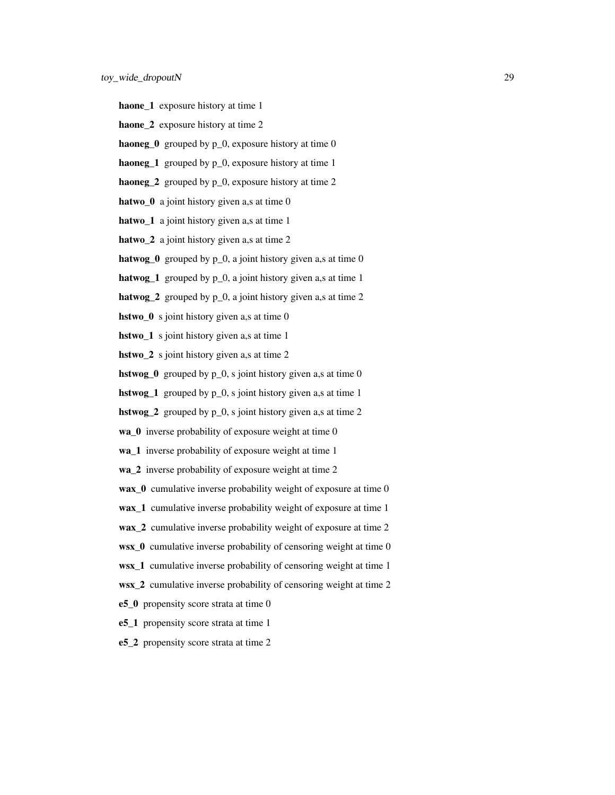- haone\_1 exposure history at time 1
- haone 2 exposure history at time 2
- **haoneg**  $\bf{0}$  grouped by  $\bf{p}$   $\bf{0}$ , exposure history at time 0
- haoneg\_1 grouped by  $p_0$ , exposure history at time 1
- haoneg\_2 grouped by  $p_0$ , exposure history at time 2
- hatwo  $\theta$  a joint history given a,s at time 0
- hatwo<sub>\_1</sub> a joint history given a,s at time 1
- hatwo<sub>\_2</sub> a joint history given a,s at time 2
- hatwog\_0 grouped by  $p_0$ , a joint history given a,s at time 0
- **hatwog** 1 grouped by  $p_0$ , a joint history given a,s at time 1
- hatwog\_2 grouped by  $p_0$ , a joint history given a,s at time 2
- hstwo<sub>\_0</sub> s joint history given a,s at time 0
- hstwo\_1 s joint history given a,s at time 1
- hstwo<sub>2</sub> s joint history given a,s at time 2
- **hstwog**<sup>0</sup> grouped by  $p_0$ , s joint history given a,s at time 0
- **hstwog** 1 grouped by  $p_0$ , s joint history given a,s at time 1
- hstwog\_2 grouped by p\_0, s joint history given a,s at time 2
- wa\_0 inverse probability of exposure weight at time 0
- wa 1 inverse probability of exposure weight at time 1
- wa\_2 inverse probability of exposure weight at time 2
- wax\_0 cumulative inverse probability weight of exposure at time 0
- wax\_1 cumulative inverse probability weight of exposure at time 1
- wax\_2 cumulative inverse probability weight of exposure at time 2
- wsx\_0 cumulative inverse probability of censoring weight at time 0
- wsx\_1 cumulative inverse probability of censoring weight at time 1
- wsx\_2 cumulative inverse probability of censoring weight at time 2
- e5\_0 propensity score strata at time 0
- e5\_1 propensity score strata at time 1
- e5\_2 propensity score strata at time 2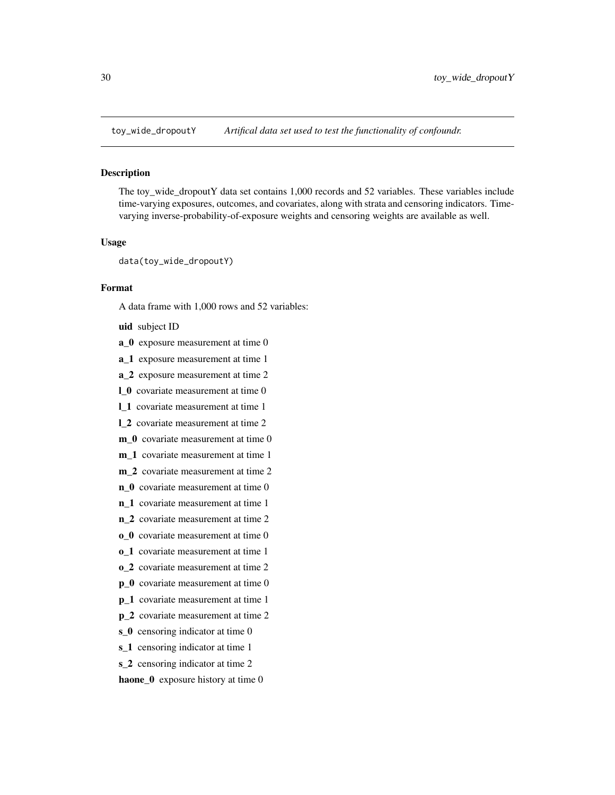<span id="page-29-0"></span>

The toy\_wide\_dropoutY data set contains 1,000 records and 52 variables. These variables include time-varying exposures, outcomes, and covariates, along with strata and censoring indicators. Timevarying inverse-probability-of-exposure weights and censoring weights are available as well.

# Usage

data(toy\_wide\_dropoutY)

# Format

A data frame with 1,000 rows and 52 variables:

uid subject ID

- a\_0 exposure measurement at time 0
- a\_1 exposure measurement at time 1
- a\_2 exposure measurement at time 2
- l\_0 covariate measurement at time 0
- l\_1 covariate measurement at time 1
- l\_2 covariate measurement at time 2
- m<sub>0</sub> covariate measurement at time 0
- m 1 covariate measurement at time 1
- m 2 covariate measurement at time 2
- n 0 covariate measurement at time 0
- n\_1 covariate measurement at time 1
- n\_2 covariate measurement at time 2
- o 0 covariate measurement at time 0
- o\_1 covariate measurement at time 1
- o\_2 covariate measurement at time 2
- p\_0 covariate measurement at time 0
- p\_1 covariate measurement at time 1
- p\_2 covariate measurement at time 2
- s<sub>0</sub> censoring indicator at time 0
- s<sub>1</sub> censoring indicator at time 1
- s\_2 censoring indicator at time 2

haone\_0 exposure history at time 0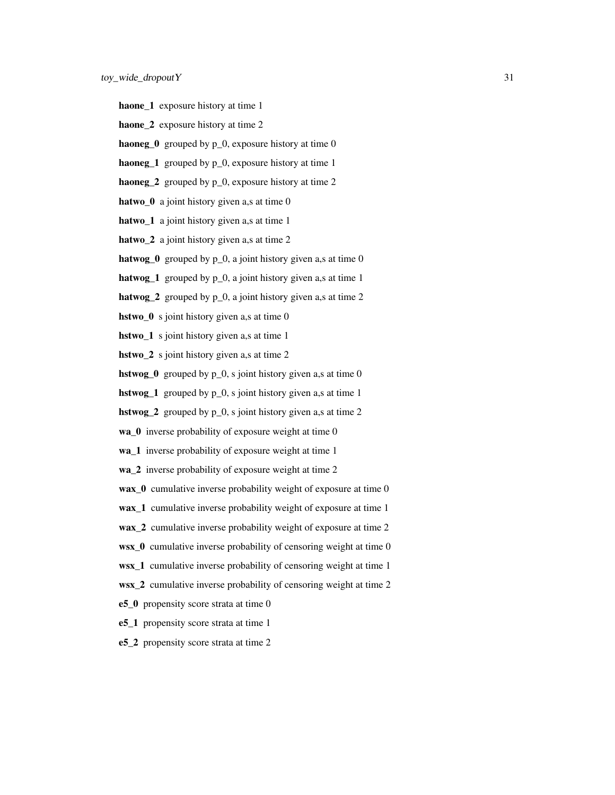- haone\_1 exposure history at time 1
- haone 2 exposure history at time 2
- **haoneg**  $\bf{0}$  grouped by  $\bf{p}$   $\bf{0}$ , exposure history at time 0
- haoneg\_1 grouped by  $p_0$ , exposure history at time 1
- haoneg\_2 grouped by  $p_0$ , exposure history at time 2
- hatwo  $\theta$  a joint history given a,s at time 0
- hatwo<sub>\_1</sub> a joint history given a,s at time 1
- hatwo<sub>\_2</sub> a joint history given a,s at time 2
- hatwog\_0 grouped by  $p_0$ , a joint history given a,s at time 0
- **hatwog** 1 grouped by  $p_0$ , a joint history given a,s at time 1
- hatwog\_2 grouped by  $p_0$ , a joint history given a,s at time 2
- hstwo<sub>\_0</sub> s joint history given a,s at time 0
- hstwo<sub>1</sub> s joint history given a,s at time 1
- hstwo<sub>2</sub> s joint history given a,s at time 2
- **hstwog**<sup>0</sup> grouped by  $p_0$ , s joint history given a,s at time 0
- **hstwog** 1 grouped by  $p_0$ , s joint history given a,s at time 1
- hstwog\_2 grouped by p\_0, s joint history given a,s at time 2
- wa\_0 inverse probability of exposure weight at time 0
- wa 1 inverse probability of exposure weight at time 1
- wa\_2 inverse probability of exposure weight at time 2
- wax\_0 cumulative inverse probability weight of exposure at time 0
- wax\_1 cumulative inverse probability weight of exposure at time 1
- wax\_2 cumulative inverse probability weight of exposure at time 2
- wsx\_0 cumulative inverse probability of censoring weight at time 0
- wsx\_1 cumulative inverse probability of censoring weight at time 1
- wsx\_2 cumulative inverse probability of censoring weight at time 2
- e5\_0 propensity score strata at time 0
- e5\_1 propensity score strata at time 1
- e5\_2 propensity score strata at time 2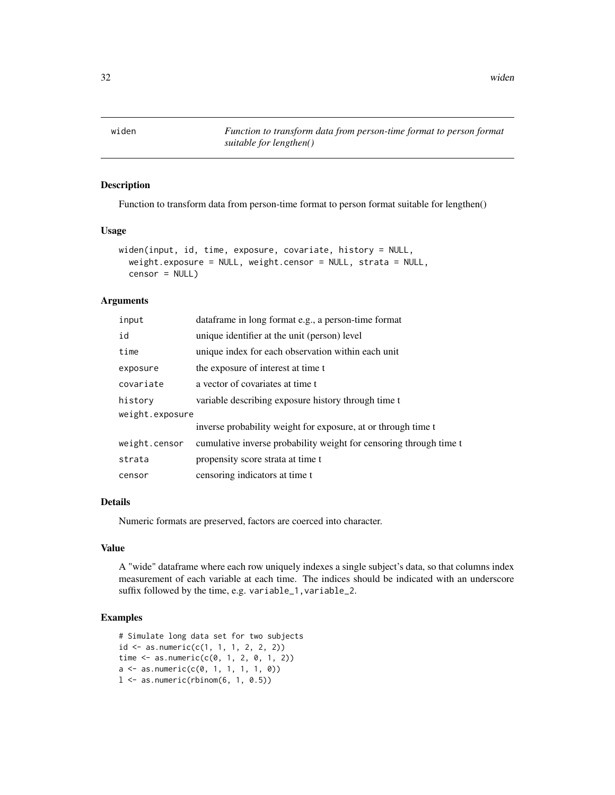<span id="page-31-0"></span>widen *Function to transform data from person-time format to person format suitable for lengthen()*

# Description

Function to transform data from person-time format to person format suitable for lengthen()

# Usage

```
widen(input, id, time, exposure, covariate, history = NULL,
  weight.exposure = NULL, weight.censor = NULL, strata = NULL,
  censor = NULL
```
#### Arguments

| input           | dataframe in long format e.g., a person-time format                |
|-----------------|--------------------------------------------------------------------|
| id              | unique identifier at the unit (person) level                       |
| time            | unique index for each observation within each unit                 |
| exposure        | the exposure of interest at time t                                 |
| covariate       | a vector of covariates at time t                                   |
| history         | variable describing exposure history through time t                |
| weight.exposure |                                                                    |
|                 | inverse probability weight for exposure, at or through time t      |
| weight.censor   | cumulative inverse probability weight for censoring through time t |
| strata          | propensity score strata at time t                                  |
| censor          | censoring indicators at time t                                     |

# Details

Numeric formats are preserved, factors are coerced into character.

# Value

A "wide" dataframe where each row uniquely indexes a single subject's data, so that columns index measurement of each variable at each time. The indices should be indicated with an underscore suffix followed by the time, e.g. variable\_1,variable\_2.

# Examples

```
# Simulate long data set for two subjects
id \leq as.numeric(c(1, 1, 1, 2, 2, 2))time <- as.numeric(c(0, 1, 2, 0, 1, 2))
a \leftarrow as.numeric(c(0, 1, 1, 1, 1, 0))1 \leftarrow as.numeric(rbinom(6, 1, 0.5))
```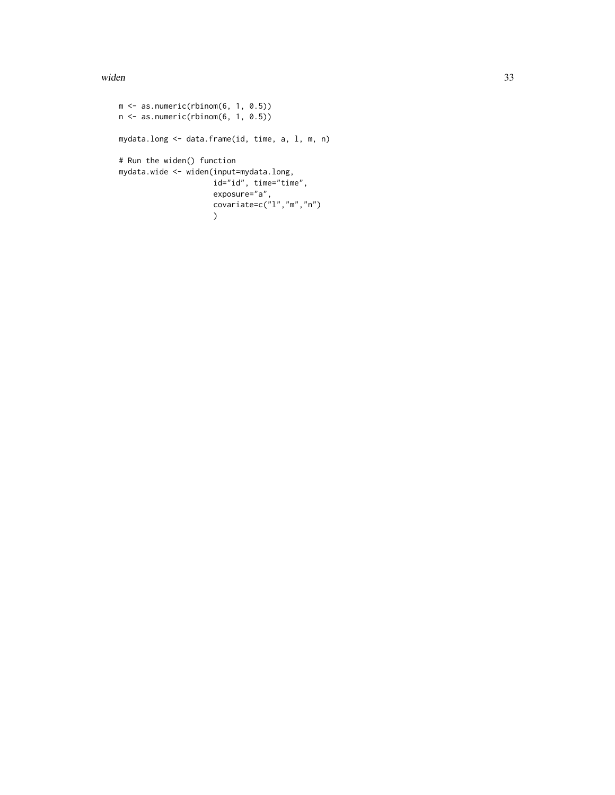widen 33

```
m \leq -as.numeric(rbinom(6, 1, 0.5))
n \leftarrow as.numeric(rbinom(6, 1, 0.5))mydata.long <- data.frame(id, time, a, l, m, n)
# Run the widen() function
mydata.wide <- widen(input=mydata.long,
                     id="id", time="time",
                     exposure="a",
                     covariate=c("1", "m", "n"))
```